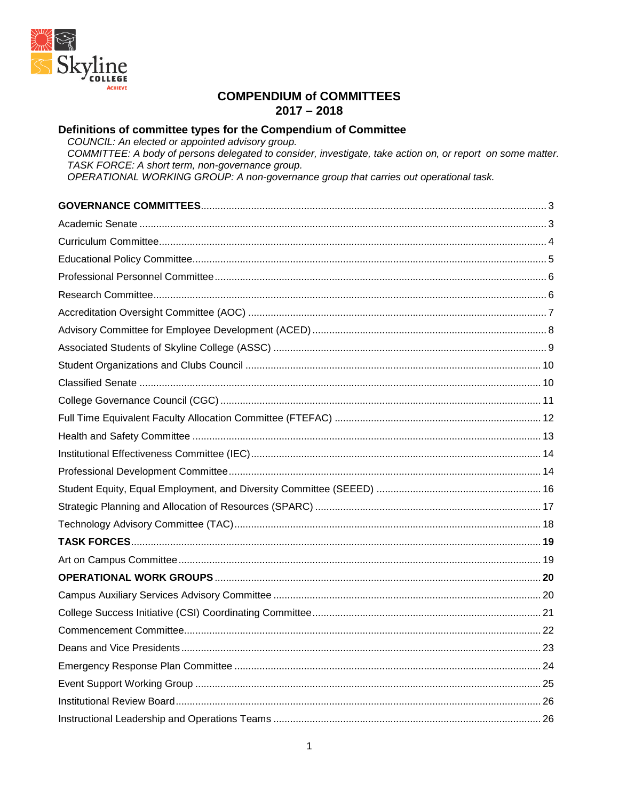

### **COMPENDIUM of COMMITTEES**  $2017 - 2018$

# Definitions of committee types for the Compendium of Committee

COUNCIL: An elected or appointed advisory group. COMMITTEE: A body of persons delegated to consider, investigate, take action on, or report on some matter. TASK FORCE: A short term, non-governance group.<br>OPERATIONAL WORKING GROUP: A non-governance group that carries out operational task.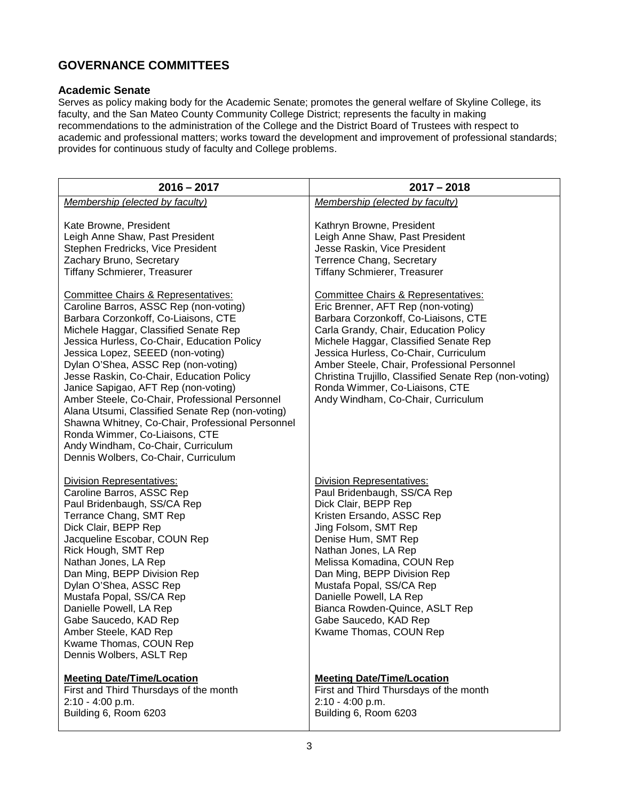# <span id="page-2-0"></span>**GOVERNANCE COMMITTEES**

#### <span id="page-2-1"></span>**Academic Senate**

Serves as policy making body for the Academic Senate; promotes the general welfare of Skyline College, its faculty, and the San Mateo County Community College District; represents the faculty in making recommendations to the administration of the College and the District Board of Trustees with respect to academic and professional matters; works toward the development and improvement of professional standards; provides for continuous study of faculty and College problems.

| $2016 - 2017$                                                                                                                                                                                                                                                                                                                                                                                                                                                                                                                                                                                                                                                      | $2017 - 2018$                                                                                                                                                                                                                                                                                                                                                                                                                 |
|--------------------------------------------------------------------------------------------------------------------------------------------------------------------------------------------------------------------------------------------------------------------------------------------------------------------------------------------------------------------------------------------------------------------------------------------------------------------------------------------------------------------------------------------------------------------------------------------------------------------------------------------------------------------|-------------------------------------------------------------------------------------------------------------------------------------------------------------------------------------------------------------------------------------------------------------------------------------------------------------------------------------------------------------------------------------------------------------------------------|
| Membership (elected by faculty)                                                                                                                                                                                                                                                                                                                                                                                                                                                                                                                                                                                                                                    | Membership (elected by faculty)                                                                                                                                                                                                                                                                                                                                                                                               |
| Kate Browne, President<br>Leigh Anne Shaw, Past President<br>Stephen Fredricks, Vice President<br>Zachary Bruno, Secretary<br><b>Tiffany Schmierer, Treasurer</b>                                                                                                                                                                                                                                                                                                                                                                                                                                                                                                  | Kathryn Browne, President<br>Leigh Anne Shaw, Past President<br>Jesse Raskin, Vice President<br>Terrence Chang, Secretary<br><b>Tiffany Schmierer, Treasurer</b>                                                                                                                                                                                                                                                              |
| <b>Committee Chairs &amp; Representatives:</b><br>Caroline Barros, ASSC Rep (non-voting)<br>Barbara Corzonkoff, Co-Liaisons, CTE<br>Michele Haggar, Classified Senate Rep<br>Jessica Hurless, Co-Chair, Education Policy<br>Jessica Lopez, SEEED (non-voting)<br>Dylan O'Shea, ASSC Rep (non-voting)<br>Jesse Raskin, Co-Chair, Education Policy<br>Janice Sapigao, AFT Rep (non-voting)<br>Amber Steele, Co-Chair, Professional Personnel<br>Alana Utsumi, Classified Senate Rep (non-voting)<br>Shawna Whitney, Co-Chair, Professional Personnel<br>Ronda Wimmer, Co-Liaisons, CTE<br>Andy Windham, Co-Chair, Curriculum<br>Dennis Wolbers, Co-Chair, Curriculum | Committee Chairs & Representatives:<br>Eric Brenner, AFT Rep (non-voting)<br>Barbara Corzonkoff, Co-Liaisons, CTE<br>Carla Grandy, Chair, Education Policy<br>Michele Haggar, Classified Senate Rep<br>Jessica Hurless, Co-Chair, Curriculum<br>Amber Steele, Chair, Professional Personnel<br>Christina Trujillo, Classified Senate Rep (non-voting)<br>Ronda Wimmer, Co-Liaisons, CTE<br>Andy Windham, Co-Chair, Curriculum |
| <b>Division Representatives:</b><br>Caroline Barros, ASSC Rep<br>Paul Bridenbaugh, SS/CA Rep<br>Terrance Chang, SMT Rep<br>Dick Clair, BEPP Rep<br>Jacqueline Escobar, COUN Rep<br>Rick Hough, SMT Rep<br>Nathan Jones, LA Rep<br>Dan Ming, BEPP Division Rep<br>Dylan O'Shea, ASSC Rep<br>Mustafa Popal, SS/CA Rep<br>Danielle Powell, LA Rep<br>Gabe Saucedo, KAD Rep<br>Amber Steele, KAD Rep<br>Kwame Thomas, COUN Rep<br>Dennis Wolbers, ASLT Rep                                                                                                                                                                                                             | <b>Division Representatives:</b><br>Paul Bridenbaugh, SS/CA Rep<br>Dick Clair, BEPP Rep<br>Kristen Ersando, ASSC Rep<br>Jing Folsom, SMT Rep<br>Denise Hum, SMT Rep<br>Nathan Jones, LA Rep<br>Melissa Komadina, COUN Rep<br>Dan Ming, BEPP Division Rep<br>Mustafa Popal, SS/CA Rep<br>Danielle Powell, LA Rep<br>Bianca Rowden-Quince, ASLT Rep<br>Gabe Saucedo, KAD Rep<br>Kwame Thomas, COUN Rep                          |
| <b>Meeting Date/Time/Location</b><br>First and Third Thursdays of the month<br>2:10 - 4:00 p.m.<br>Building 6, Room 6203                                                                                                                                                                                                                                                                                                                                                                                                                                                                                                                                           | <b>Meeting Date/Time/Location</b><br>First and Third Thursdays of the month<br>2:10 - 4:00 p.m.<br>Building 6, Room 6203                                                                                                                                                                                                                                                                                                      |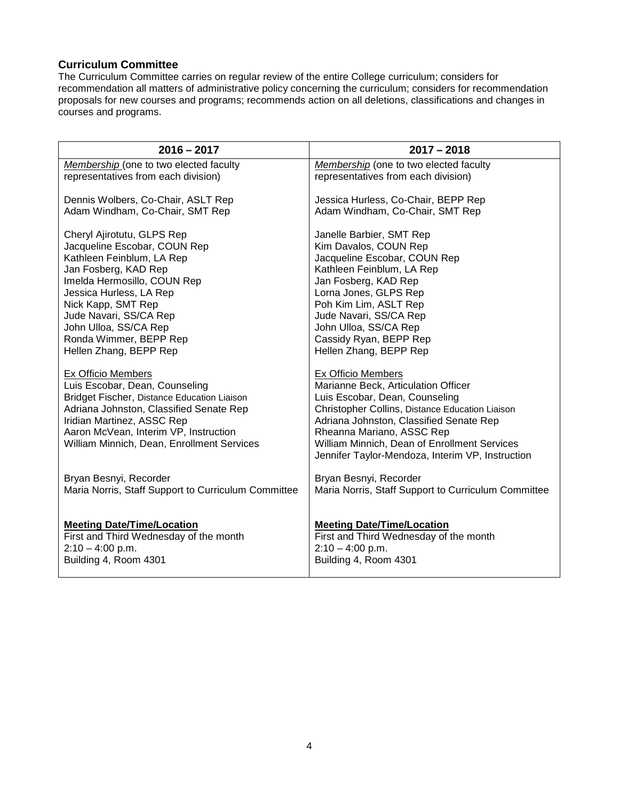#### <span id="page-3-0"></span>**Curriculum Committee**

The Curriculum Committee carries on regular review of the entire College curriculum; considers for recommendation all matters of administrative policy concerning the curriculum; considers for recommendation proposals for new courses and programs; recommends action on all deletions, classifications and changes in courses and programs.

| $2016 - 2017$                                                                                                                                                                                                                                                              | $2017 - 2018$                                                                                                                                                                                                                                                                                                                     |
|----------------------------------------------------------------------------------------------------------------------------------------------------------------------------------------------------------------------------------------------------------------------------|-----------------------------------------------------------------------------------------------------------------------------------------------------------------------------------------------------------------------------------------------------------------------------------------------------------------------------------|
| Membership (one to two elected faculty                                                                                                                                                                                                                                     | Membership (one to two elected faculty                                                                                                                                                                                                                                                                                            |
| representatives from each division)                                                                                                                                                                                                                                        | representatives from each division)                                                                                                                                                                                                                                                                                               |
| Dennis Wolbers, Co-Chair, ASLT Rep                                                                                                                                                                                                                                         | Jessica Hurless, Co-Chair, BEPP Rep                                                                                                                                                                                                                                                                                               |
| Adam Windham, Co-Chair, SMT Rep                                                                                                                                                                                                                                            | Adam Windham, Co-Chair, SMT Rep                                                                                                                                                                                                                                                                                                   |
| Cheryl Ajirotutu, GLPS Rep                                                                                                                                                                                                                                                 | Janelle Barbier, SMT Rep                                                                                                                                                                                                                                                                                                          |
| Jacqueline Escobar, COUN Rep                                                                                                                                                                                                                                               | Kim Davalos, COUN Rep                                                                                                                                                                                                                                                                                                             |
| Kathleen Feinblum, LA Rep                                                                                                                                                                                                                                                  | Jacqueline Escobar, COUN Rep                                                                                                                                                                                                                                                                                                      |
| Jan Fosberg, KAD Rep                                                                                                                                                                                                                                                       | Kathleen Feinblum, LA Rep                                                                                                                                                                                                                                                                                                         |
| Imelda Hermosillo, COUN Rep                                                                                                                                                                                                                                                | Jan Fosberg, KAD Rep                                                                                                                                                                                                                                                                                                              |
| Jessica Hurless, LA Rep                                                                                                                                                                                                                                                    | Lorna Jones, GLPS Rep                                                                                                                                                                                                                                                                                                             |
| Nick Kapp, SMT Rep                                                                                                                                                                                                                                                         | Poh Kim Lim, ASLT Rep                                                                                                                                                                                                                                                                                                             |
| Jude Navari, SS/CA Rep                                                                                                                                                                                                                                                     | Jude Navari, SS/CA Rep                                                                                                                                                                                                                                                                                                            |
| John Ulloa, SS/CA Rep                                                                                                                                                                                                                                                      | John Ulloa, SS/CA Rep                                                                                                                                                                                                                                                                                                             |
| Ronda Wimmer, BEPP Rep                                                                                                                                                                                                                                                     | Cassidy Ryan, BEPP Rep                                                                                                                                                                                                                                                                                                            |
| Hellen Zhang, BEPP Rep                                                                                                                                                                                                                                                     | Hellen Zhang, BEPP Rep                                                                                                                                                                                                                                                                                                            |
| <b>Ex Officio Members</b><br>Luis Escobar, Dean, Counseling<br>Bridget Fischer, Distance Education Liaison<br>Adriana Johnston, Classified Senate Rep<br>Iridian Martinez, ASSC Rep<br>Aaron McVean, Interim VP, Instruction<br>William Minnich, Dean, Enrollment Services | <b>Ex Officio Members</b><br>Marianne Beck, Articulation Officer<br>Luis Escobar, Dean, Counseling<br>Christopher Collins, Distance Education Liaison<br>Adriana Johnston, Classified Senate Rep<br>Rheanna Mariano, ASSC Rep<br>William Minnich, Dean of Enrollment Services<br>Jennifer Taylor-Mendoza, Interim VP, Instruction |
| Bryan Besnyi, Recorder                                                                                                                                                                                                                                                     | Bryan Besnyi, Recorder                                                                                                                                                                                                                                                                                                            |
| Maria Norris, Staff Support to Curriculum Committee                                                                                                                                                                                                                        | Maria Norris, Staff Support to Curriculum Committee                                                                                                                                                                                                                                                                               |
| <b>Meeting Date/Time/Location</b>                                                                                                                                                                                                                                          | <b>Meeting Date/Time/Location</b>                                                                                                                                                                                                                                                                                                 |
| First and Third Wednesday of the month                                                                                                                                                                                                                                     | First and Third Wednesday of the month                                                                                                                                                                                                                                                                                            |
| $2:10 - 4:00$ p.m.                                                                                                                                                                                                                                                         | $2:10 - 4:00$ p.m.                                                                                                                                                                                                                                                                                                                |
| Building 4, Room 4301                                                                                                                                                                                                                                                      | Building 4, Room 4301                                                                                                                                                                                                                                                                                                             |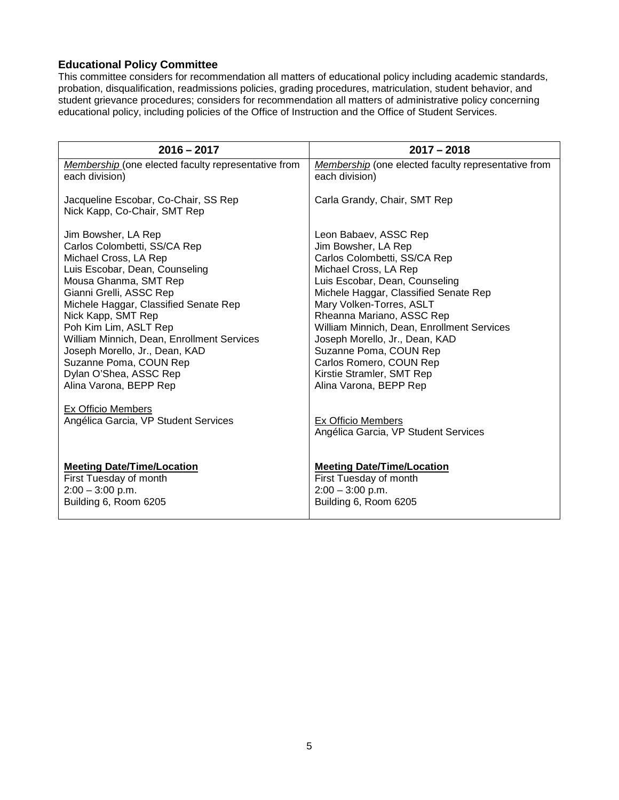### <span id="page-4-0"></span>**Educational Policy Committee**

This committee considers for recommendation all matters of educational policy including academic standards, probation, disqualification, readmissions policies, grading procedures, matriculation, student behavior, and student grievance procedures; considers for recommendation all matters of administrative policy concerning educational policy, including policies of the Office of Instruction and the Office of Student Services.

| $2016 - 2017$                                                                                                                                                                                                                                                                                                                                                                                                                                         | $2017 - 2018$                                                                                                                                                                                                                                                                                                                                                                                                                         |
|-------------------------------------------------------------------------------------------------------------------------------------------------------------------------------------------------------------------------------------------------------------------------------------------------------------------------------------------------------------------------------------------------------------------------------------------------------|---------------------------------------------------------------------------------------------------------------------------------------------------------------------------------------------------------------------------------------------------------------------------------------------------------------------------------------------------------------------------------------------------------------------------------------|
| Membership (one elected faculty representative from<br>each division)                                                                                                                                                                                                                                                                                                                                                                                 | Membership (one elected faculty representative from<br>each division)                                                                                                                                                                                                                                                                                                                                                                 |
| Jacqueline Escobar, Co-Chair, SS Rep<br>Nick Kapp, Co-Chair, SMT Rep                                                                                                                                                                                                                                                                                                                                                                                  | Carla Grandy, Chair, SMT Rep                                                                                                                                                                                                                                                                                                                                                                                                          |
| Jim Bowsher, LA Rep<br>Carlos Colombetti, SS/CA Rep<br>Michael Cross, LA Rep<br>Luis Escobar, Dean, Counseling<br>Mousa Ghanma, SMT Rep<br>Gianni Grelli, ASSC Rep<br>Michele Haggar, Classified Senate Rep<br>Nick Kapp, SMT Rep<br>Poh Kim Lim, ASLT Rep<br>William Minnich, Dean, Enrollment Services<br>Joseph Morello, Jr., Dean, KAD<br>Suzanne Poma, COUN Rep<br>Dylan O'Shea, ASSC Rep<br>Alina Varona, BEPP Rep<br><b>Ex Officio Members</b> | Leon Babaev, ASSC Rep<br>Jim Bowsher, LA Rep<br>Carlos Colombetti, SS/CA Rep<br>Michael Cross, LA Rep<br>Luis Escobar, Dean, Counseling<br>Michele Haggar, Classified Senate Rep<br>Mary Volken-Torres, ASLT<br>Rheanna Mariano, ASSC Rep<br>William Minnich, Dean, Enrollment Services<br>Joseph Morello, Jr., Dean, KAD<br>Suzanne Poma, COUN Rep<br>Carlos Romero, COUN Rep<br>Kirstie Stramler, SMT Rep<br>Alina Varona, BEPP Rep |
| Angélica Garcia, VP Student Services                                                                                                                                                                                                                                                                                                                                                                                                                  | <b>Ex Officio Members</b><br>Angélica Garcia, VP Student Services                                                                                                                                                                                                                                                                                                                                                                     |
| <b>Meeting Date/Time/Location</b><br>First Tuesday of month<br>$2:00 - 3:00$ p.m.<br>Building 6, Room 6205                                                                                                                                                                                                                                                                                                                                            | <b>Meeting Date/Time/Location</b><br>First Tuesday of month<br>$2:00 - 3:00$ p.m.<br>Building 6, Room 6205                                                                                                                                                                                                                                                                                                                            |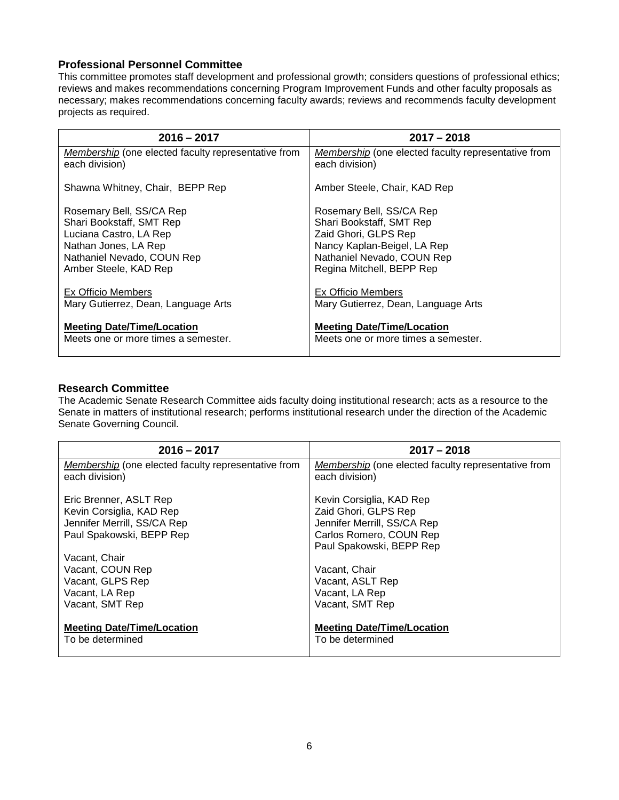#### <span id="page-5-0"></span>**Professional Personnel Committee**

This committee promotes staff development and professional growth; considers questions of professional ethics; reviews and makes recommendations concerning Program Improvement Funds and other faculty proposals as necessary; makes recommendations concerning faculty awards; reviews and recommends faculty development projects as required.

| $2016 - 2017$                                       | $2017 - 2018$                                       |
|-----------------------------------------------------|-----------------------------------------------------|
| Membership (one elected faculty representative from | Membership (one elected faculty representative from |
| each division)                                      | each division)                                      |
| Shawna Whitney, Chair, BEPP Rep                     | Amber Steele, Chair, KAD Rep                        |
| Rosemary Bell, SS/CA Rep                            | Rosemary Bell, SS/CA Rep                            |
| Shari Bookstaff, SMT Rep                            | Shari Bookstaff, SMT Rep                            |
| Luciana Castro, LA Rep                              | Zaid Ghori, GLPS Rep                                |
| Nathan Jones, LA Rep                                | Nancy Kaplan-Beigel, LA Rep                         |
| Nathaniel Nevado, COUN Rep                          | Nathaniel Nevado, COUN Rep                          |
| Amber Steele, KAD Rep                               | Regina Mitchell, BEPP Rep                           |
| <b>Ex Officio Members</b>                           | <b>Ex Officio Members</b>                           |
| Mary Gutierrez, Dean, Language Arts                 | Mary Gutierrez, Dean, Language Arts                 |
| <b>Meeting Date/Time/Location</b>                   | <b>Meeting Date/Time/Location</b>                   |
| Meets one or more times a semester.                 | Meets one or more times a semester.                 |

#### <span id="page-5-1"></span>**Research Committee**

The Academic Senate Research Committee aids faculty doing institutional research; acts as a resource to the Senate in matters of institutional research; performs institutional research under the direction of the Academic Senate Governing Council.

| $2016 - 2017$                                       | $2017 - 2018$                                       |
|-----------------------------------------------------|-----------------------------------------------------|
| Membership (one elected faculty representative from | Membership (one elected faculty representative from |
| each division)                                      | each division)                                      |
| Eric Brenner, ASLT Rep                              | Kevin Corsiglia, KAD Rep                            |
| Kevin Corsiglia, KAD Rep                            | Zaid Ghori, GLPS Rep                                |
| Jennifer Merrill, SS/CA Rep                         | Jennifer Merrill, SS/CA Rep                         |
| Paul Spakowski, BEPP Rep                            | Carlos Romero, COUN Rep                             |
|                                                     | Paul Spakowski, BEPP Rep                            |
| Vacant, Chair                                       |                                                     |
| Vacant, COUN Rep                                    | Vacant, Chair                                       |
| Vacant, GLPS Rep                                    | Vacant, ASLT Rep                                    |
| Vacant, LA Rep                                      | Vacant, LA Rep                                      |
|                                                     |                                                     |
| Vacant, SMT Rep                                     | Vacant, SMT Rep                                     |
| <b>Meeting Date/Time/Location</b>                   | <b>Meeting Date/Time/Location</b>                   |
| To be determined                                    | To be determined                                    |
|                                                     |                                                     |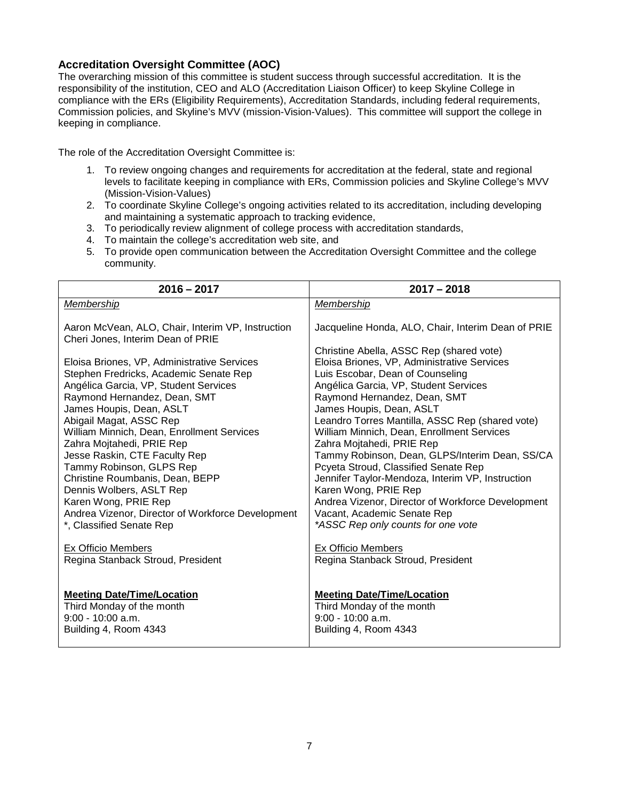#### <span id="page-6-0"></span>**Accreditation Oversight Committee (AOC)**

The overarching mission of this committee is student success through successful accreditation. It is the responsibility of the institution, CEO and ALO (Accreditation Liaison Officer) to keep Skyline College in compliance with the ERs (Eligibility Requirements), Accreditation Standards, including federal requirements, Commission policies, and Skyline's MVV (mission-Vision-Values). This committee will support the college in keeping in compliance.

The role of the Accreditation Oversight Committee is:

- 1. To review ongoing changes and requirements for accreditation at the federal, state and regional levels to facilitate keeping in compliance with ERs, Commission policies and Skyline College's MVV (Mission-Vision-Values)
- 2. To coordinate Skyline College's ongoing activities related to its accreditation, including developing and maintaining a systematic approach to tracking evidence,
- 3. To periodically review alignment of college process with accreditation standards,
- 4. To maintain the college's accreditation web site, and
- 5. To provide open communication between the Accreditation Oversight Committee and the college community.

| $2016 - 2017$                                     | $2017 - 2018$                                      |
|---------------------------------------------------|----------------------------------------------------|
| Membership                                        | Membership                                         |
| Aaron McVean, ALO, Chair, Interim VP, Instruction | Jacqueline Honda, ALO, Chair, Interim Dean of PRIE |
| Cheri Jones, Interim Dean of PRIE                 | Christine Abella, ASSC Rep (shared vote)           |
| Eloisa Briones, VP, Administrative Services       | Eloisa Briones, VP, Administrative Services        |
| Stephen Fredricks, Academic Senate Rep            | Luis Escobar, Dean of Counseling                   |
| Angélica Garcia, VP, Student Services             | Angélica Garcia, VP, Student Services              |
| Raymond Hernandez, Dean, SMT                      | Raymond Hernandez, Dean, SMT                       |
| James Houpis, Dean, ASLT                          | James Houpis, Dean, ASLT                           |
| Abigail Magat, ASSC Rep                           | Leandro Torres Mantilla, ASSC Rep (shared vote)    |
| William Minnich, Dean, Enrollment Services        | William Minnich, Dean, Enrollment Services         |
| Zahra Mojtahedi, PRIE Rep                         | Zahra Mojtahedi, PRIE Rep                          |
| Jesse Raskin, CTE Faculty Rep                     | Tammy Robinson, Dean, GLPS/Interim Dean, SS/CA     |
| Tammy Robinson, GLPS Rep                          | Pcyeta Stroud, Classified Senate Rep               |
| Christine Roumbanis, Dean, BEPP                   | Jennifer Taylor-Mendoza, Interim VP, Instruction   |
| Dennis Wolbers, ASLT Rep                          | Karen Wong, PRIE Rep                               |
| Karen Wong, PRIE Rep                              | Andrea Vizenor, Director of Workforce Development  |
| Andrea Vizenor, Director of Workforce Development | Vacant, Academic Senate Rep                        |
| *, Classified Senate Rep                          | *ASSC Rep only counts for one vote                 |
| Ex Officio Members                                | Ex Officio Members                                 |
| Regina Stanback Stroud, President                 | Regina Stanback Stroud, President                  |
| <b>Meeting Date/Time/Location</b>                 | <b>Meeting Date/Time/Location</b>                  |
| Third Monday of the month                         | Third Monday of the month                          |
| $9:00 - 10:00$ a.m.                               | $9:00 - 10:00$ a.m.                                |
| Building 4, Room 4343                             | Building 4, Room 4343                              |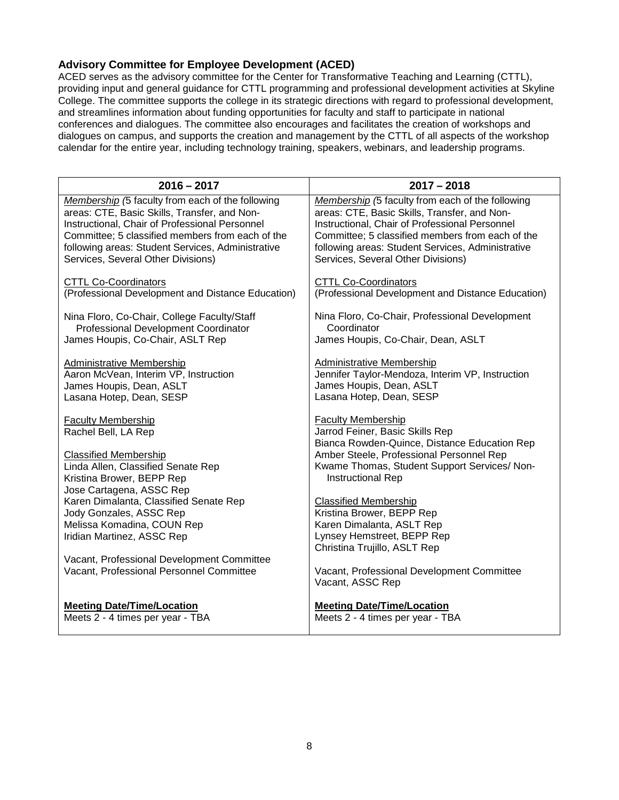### <span id="page-7-0"></span>**Advisory Committee for Employee Development (ACED)**

ACED serves as the advisory committee for the Center for Transformative Teaching and Learning (CTTL), providing input and general guidance for CTTL programming and professional development activities at Skyline College. The committee supports the college in its strategic directions with regard to professional development, and streamlines information about funding opportunities for faculty and staff to participate in national conferences and dialogues. The committee also encourages and facilitates the creation of workshops and dialogues on campus, and supports the creation and management by the CTTL of all aspects of the workshop calendar for the entire year, including technology training, speakers, webinars, and leadership programs.

| $2016 - 2017$                                     | $2017 - 2018$                                                                                         |
|---------------------------------------------------|-------------------------------------------------------------------------------------------------------|
| Membership (5 faculty from each of the following  | Membership (5 faculty from each of the following                                                      |
| areas: CTE, Basic Skills, Transfer, and Non-      | areas: CTE, Basic Skills, Transfer, and Non-                                                          |
| Instructional, Chair of Professional Personnel    | Instructional, Chair of Professional Personnel                                                        |
| Committee; 5 classified members from each of the  | Committee; 5 classified members from each of the                                                      |
| following areas: Student Services, Administrative | following areas: Student Services, Administrative                                                     |
| Services, Several Other Divisions)                | Services, Several Other Divisions)                                                                    |
| <b>CTTL Co-Coordinators</b>                       | <b>CTTL Co-Coordinators</b>                                                                           |
| (Professional Development and Distance Education) | (Professional Development and Distance Education)                                                     |
| Nina Floro, Co-Chair, College Faculty/Staff       | Nina Floro, Co-Chair, Professional Development                                                        |
| Professional Development Coordinator              | Coordinator                                                                                           |
| James Houpis, Co-Chair, ASLT Rep                  | James Houpis, Co-Chair, Dean, ASLT                                                                    |
| <b>Administrative Membership</b>                  | <b>Administrative Membership</b>                                                                      |
| Aaron McVean, Interim VP, Instruction             | Jennifer Taylor-Mendoza, Interim VP, Instruction                                                      |
| James Houpis, Dean, ASLT                          | James Houpis, Dean, ASLT                                                                              |
| Lasana Hotep, Dean, SESP                          | Lasana Hotep, Dean, SESP                                                                              |
| <b>Faculty Membership</b><br>Rachel Bell, LA Rep  | Faculty Membership<br>Jarrod Feiner, Basic Skills Rep<br>Bianca Rowden-Quince, Distance Education Rep |
| <b>Classified Membership</b>                      | Amber Steele, Professional Personnel Rep                                                              |
| Linda Allen, Classified Senate Rep                | Kwame Thomas, Student Support Services/ Non-                                                          |
| Kristina Brower, BEPP Rep                         | Instructional Rep                                                                                     |
| Jose Cartagena, ASSC Rep                          | <b>Classified Membership</b>                                                                          |
| Karen Dimalanta, Classified Senate Rep            | Kristina Brower, BEPP Rep                                                                             |
| Jody Gonzales, ASSC Rep                           | Karen Dimalanta, ASLT Rep                                                                             |
| Melissa Komadina, COUN Rep                        | Lynsey Hemstreet, BEPP Rep                                                                            |
| Iridian Martinez, ASSC Rep                        | Christina Trujillo, ASLT Rep                                                                          |
| Vacant, Professional Development Committee        | Vacant, Professional Development Committee                                                            |
| Vacant, Professional Personnel Committee          | Vacant, ASSC Rep                                                                                      |
| <b>Meeting Date/Time/Location</b>                 | <b>Meeting Date/Time/Location</b>                                                                     |
| Meets 2 - 4 times per year - TBA                  | Meets 2 - 4 times per year - TBA                                                                      |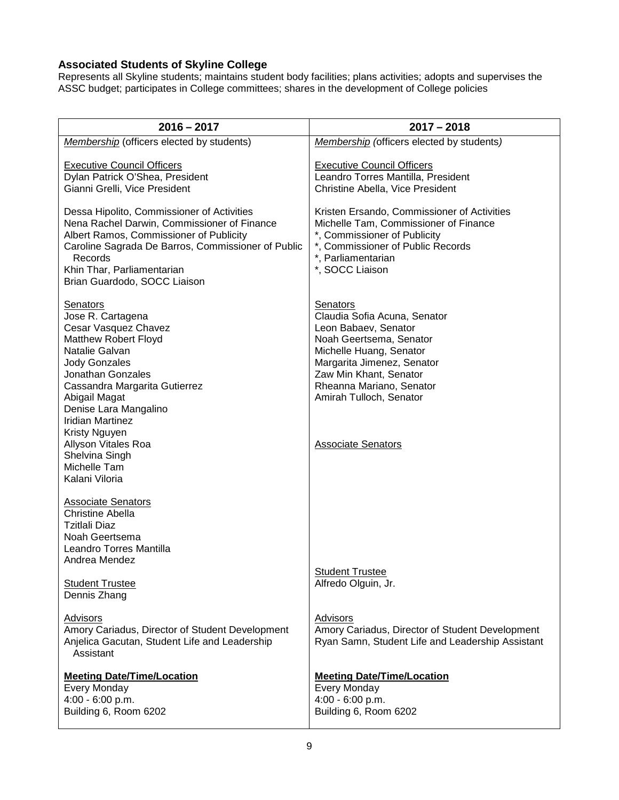### <span id="page-8-0"></span>**Associated Students of Skyline College**

Represents all Skyline students; maintains student body facilities; plans activities; adopts and supervises the ASSC budget; participates in College committees; shares in the development of College policies

| $2016 - 2017$                                                                                                                                                                                                                                                                                                                                         | $2017 - 2018$                                                                                                                                                                                                                                                      |
|-------------------------------------------------------------------------------------------------------------------------------------------------------------------------------------------------------------------------------------------------------------------------------------------------------------------------------------------------------|--------------------------------------------------------------------------------------------------------------------------------------------------------------------------------------------------------------------------------------------------------------------|
| Membership (officers elected by students)                                                                                                                                                                                                                                                                                                             | Membership (officers elected by students)                                                                                                                                                                                                                          |
| <b>Executive Council Officers</b><br>Dylan Patrick O'Shea, President<br>Gianni Grelli, Vice President                                                                                                                                                                                                                                                 | <b>Executive Council Officers</b><br>Leandro Torres Mantilla, President<br>Christine Abella, Vice President                                                                                                                                                        |
| Dessa Hipolito, Commissioner of Activities<br>Nena Rachel Darwin, Commissioner of Finance<br>Albert Ramos, Commissioner of Publicity<br>Caroline Sagrada De Barros, Commissioner of Public<br>Records<br>Khin Thar, Parliamentarian<br>Brian Guardodo, SOCC Liaison                                                                                   | Kristen Ersando, Commissioner of Activities<br>Michelle Tam, Commissioner of Finance<br>*, Commissioner of Publicity<br>*, Commissioner of Public Records<br>*, Parliamentarian<br>*, SOCC Liaison                                                                 |
| Senators<br>Jose R. Cartagena<br>Cesar Vasquez Chavez<br><b>Matthew Robert Floyd</b><br>Natalie Galvan<br><b>Jody Gonzales</b><br>Jonathan Gonzales<br>Cassandra Margarita Gutierrez<br>Abigail Magat<br>Denise Lara Mangalino<br><b>Iridian Martinez</b><br>Kristy Nguyen<br>Allyson Vitales Roa<br>Shelvina Singh<br>Michelle Tam<br>Kalani Viloria | Senators<br>Claudia Sofia Acuna, Senator<br>Leon Babaev, Senator<br>Noah Geertsema, Senator<br>Michelle Huang, Senator<br>Margarita Jimenez, Senator<br>Zaw Min Khant, Senator<br>Rheanna Mariano, Senator<br>Amirah Tulloch, Senator<br><b>Associate Senators</b> |
| <b>Associate Senators</b><br><b>Christine Abella</b><br><b>Tzitlali Diaz</b><br>Noah Geertsema<br>Leandro Torres Mantilla<br>Andrea Mendez<br><b>Student Trustee</b>                                                                                                                                                                                  | <b>Student Trustee</b><br>Alfredo Olguin, Jr.                                                                                                                                                                                                                      |
| Dennis Zhang<br><b>Advisors</b><br>Amory Cariadus, Director of Student Development<br>Anjelica Gacutan, Student Life and Leadership<br>Assistant                                                                                                                                                                                                      | <b>Advisors</b><br>Amory Cariadus, Director of Student Development<br>Ryan Samn, Student Life and Leadership Assistant                                                                                                                                             |
| <b>Meeting Date/Time/Location</b><br>Every Monday<br>4:00 - 6:00 p.m.<br>Building 6, Room 6202                                                                                                                                                                                                                                                        | <b>Meeting Date/Time/Location</b><br>Every Monday<br>4:00 - 6:00 p.m.<br>Building 6, Room 6202                                                                                                                                                                     |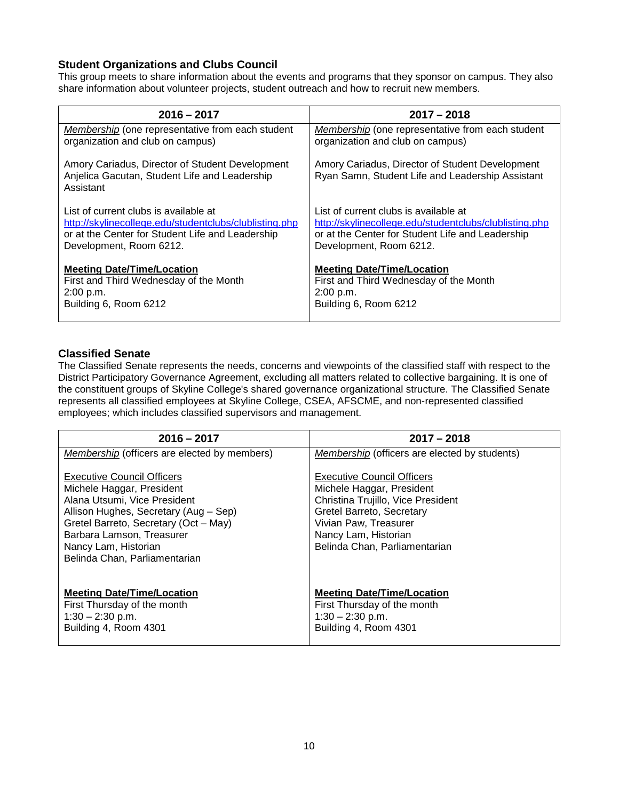### <span id="page-9-0"></span>**Student Organizations and Clubs Council**

This group meets to share information about the events and programs that they sponsor on campus. They also share information about volunteer projects, student outreach and how to recruit new members.

| $2016 - 2017$                                                                                                 | $2017 - 2018$                                                                                       |
|---------------------------------------------------------------------------------------------------------------|-----------------------------------------------------------------------------------------------------|
| <b>Membership</b> (one representative from each student                                                       | Membership (one representative from each student                                                    |
| organization and club on campus)                                                                              | organization and club on campus)                                                                    |
| Amory Cariadus, Director of Student Development<br>Anjelica Gacutan, Student Life and Leadership<br>Assistant | Amory Cariadus, Director of Student Development<br>Ryan Samn, Student Life and Leadership Assistant |
| List of current clubs is available at                                                                         | List of current clubs is available at                                                               |
| http://skylinecollege.edu/studentclubs/clublisting.php                                                        | http://skylinecollege.edu/studentclubs/clublisting.php                                              |
| or at the Center for Student Life and Leadership                                                              | or at the Center for Student Life and Leadership                                                    |
| Development, Room 6212.                                                                                       | Development, Room 6212.                                                                             |
| <b>Meeting Date/Time/Location</b>                                                                             | <b>Meeting Date/Time/Location</b>                                                                   |
| First and Third Wednesday of the Month                                                                        | First and Third Wednesday of the Month                                                              |
| 2:00 p.m.                                                                                                     | 2:00 p.m.                                                                                           |
| Building 6, Room 6212                                                                                         | Building 6, Room 6212                                                                               |

#### <span id="page-9-1"></span>**Classified Senate**

The Classified Senate represents the needs, concerns and viewpoints of the classified staff with respect to the District Participatory Governance Agreement, excluding all matters related to collective bargaining. It is one of the constituent groups of Skyline College's shared governance organizational structure. The Classified Senate represents all classified employees at Skyline College, CSEA, AFSCME, and non-represented classified employees; which includes classified supervisors and management.

| $2016 - 2017$                                                                                                                                                                                                                                                          | $2017 - 2018$                                                                                                                                                                                                       |
|------------------------------------------------------------------------------------------------------------------------------------------------------------------------------------------------------------------------------------------------------------------------|---------------------------------------------------------------------------------------------------------------------------------------------------------------------------------------------------------------------|
| Membership (officers are elected by members)                                                                                                                                                                                                                           | Membership (officers are elected by students)                                                                                                                                                                       |
| <b>Executive Council Officers</b><br>Michele Haggar, President<br>Alana Utsumi, Vice President<br>Allison Hughes, Secretary (Aug - Sep)<br>Gretel Barreto, Secretary (Oct - May)<br>Barbara Lamson, Treasurer<br>Nancy Lam, Historian<br>Belinda Chan, Parliamentarian | <b>Executive Council Officers</b><br>Michele Haggar, President<br>Christina Trujillo, Vice President<br>Gretel Barreto, Secretary<br>Vivian Paw, Treasurer<br>Nancy Lam, Historian<br>Belinda Chan, Parliamentarian |
| <b>Meeting Date/Time/Location</b><br>First Thursday of the month<br>$1:30 - 2:30$ p.m.<br>Building 4, Room 4301                                                                                                                                                        | <b>Meeting Date/Time/Location</b><br>First Thursday of the month<br>$1:30 - 2:30$ p.m.<br>Building 4, Room 4301                                                                                                     |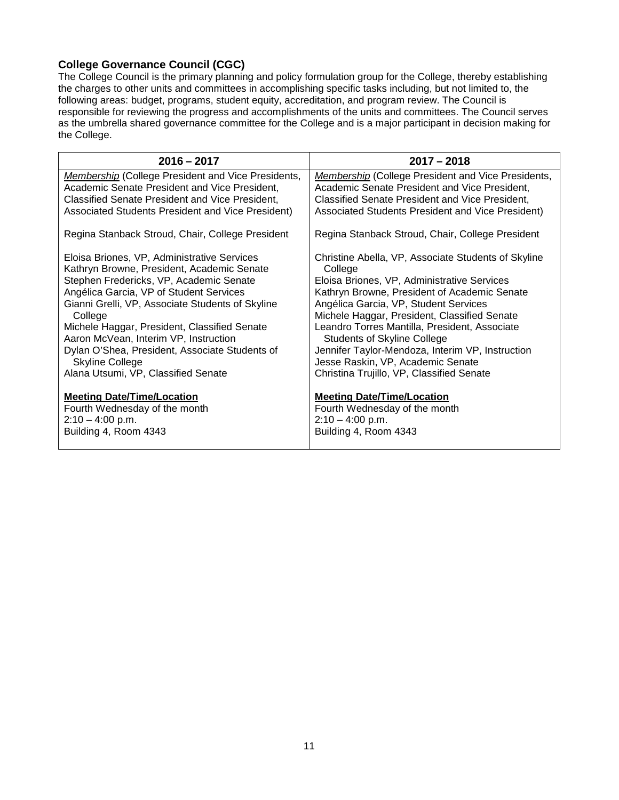### <span id="page-10-0"></span>**College Governance Council (CGC)**

The College Council is the primary planning and policy formulation group for the College, thereby establishing the charges to other units and committees in accomplishing specific tasks including, but not limited to, the following areas: budget, programs, student equity, accreditation, and program review. The Council is responsible for reviewing the progress and accomplishments of the units and committees. The Council serves as the umbrella shared governance committee for the College and is a major participant in decision making for the College.

<span id="page-10-1"></span>

| $2016 - 2017$                                             | $2017 - 2018$                                             |
|-----------------------------------------------------------|-----------------------------------------------------------|
| <b>Membership (College President and Vice Presidents,</b> | <b>Membership (College President and Vice Presidents,</b> |
| Academic Senate President and Vice President,             | Academic Senate President and Vice President,             |
| Classified Senate President and Vice President,           | Classified Senate President and Vice President,           |
| Associated Students President and Vice President)         | Associated Students President and Vice President)         |
| Regina Stanback Stroud, Chair, College President          | Regina Stanback Stroud, Chair, College President          |
| Eloisa Briones, VP, Administrative Services               | Christine Abella, VP, Associate Students of Skyline       |
| Kathryn Browne, President, Academic Senate                | College                                                   |
| Stephen Fredericks, VP, Academic Senate                   | Eloisa Briones, VP, Administrative Services               |
| Angélica Garcia, VP of Student Services                   | Kathryn Browne, President of Academic Senate              |
| Gianni Grelli, VP, Associate Students of Skyline          | Angélica Garcia, VP, Student Services                     |
| College                                                   | Michele Haggar, President, Classified Senate              |
| Michele Haggar, President, Classified Senate              | Leandro Torres Mantilla, President, Associate             |
| Aaron McVean, Interim VP, Instruction                     | <b>Students of Skyline College</b>                        |
| Dylan O'Shea, President, Associate Students of            | Jennifer Taylor-Mendoza, Interim VP, Instruction          |
| <b>Skyline College</b>                                    | Jesse Raskin, VP, Academic Senate                         |
| Alana Utsumi, VP, Classified Senate                       | Christina Trujillo, VP, Classified Senate                 |
| <b>Meeting Date/Time/Location</b>                         | <b>Meeting Date/Time/Location</b>                         |
| Fourth Wednesday of the month                             | Fourth Wednesday of the month                             |
| $2:10 - 4:00$ p.m.                                        | $2:10 - 4:00$ p.m.                                        |
| Building 4, Room 4343                                     | Building 4, Room 4343                                     |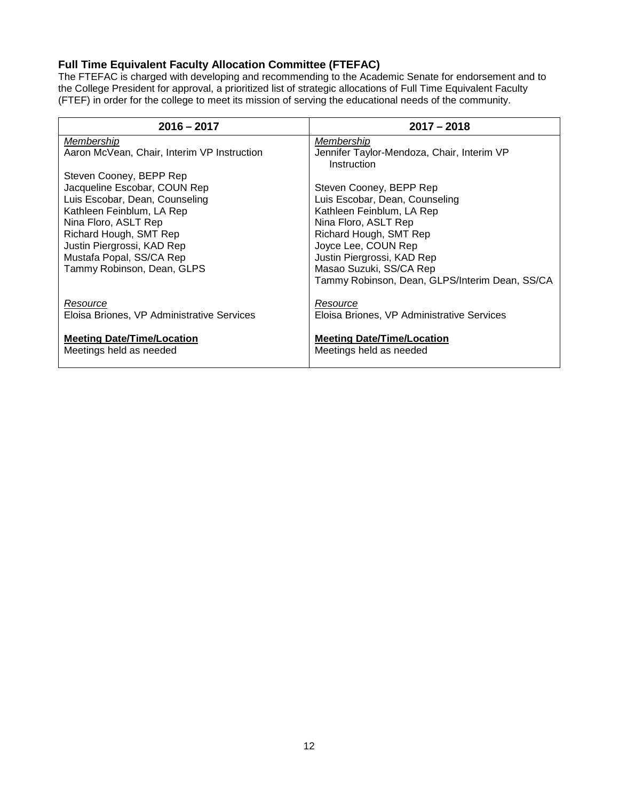# **Full Time Equivalent Faculty Allocation Committee (FTEFAC)**

The FTEFAC is charged with developing and recommending to the Academic Senate for endorsement and to the College President for approval, a prioritized list of strategic allocations of Full Time Equivalent Faculty (FTEF) in order for the college to meet its mission of serving the educational needs of the community.

<span id="page-11-0"></span>

| $2016 - 2017$                                                                                                                                                                                                                         | $2017 - 2018$                                                                                                                                                                                                                                                              |
|---------------------------------------------------------------------------------------------------------------------------------------------------------------------------------------------------------------------------------------|----------------------------------------------------------------------------------------------------------------------------------------------------------------------------------------------------------------------------------------------------------------------------|
| Membership                                                                                                                                                                                                                            | Membership                                                                                                                                                                                                                                                                 |
| Aaron McVean, Chair, Interim VP Instruction                                                                                                                                                                                           | Jennifer Taylor-Mendoza, Chair, Interim VP                                                                                                                                                                                                                                 |
| Steven Cooney, BEPP Rep                                                                                                                                                                                                               | Instruction                                                                                                                                                                                                                                                                |
| Jacqueline Escobar, COUN Rep<br>Luis Escobar, Dean, Counseling<br>Kathleen Feinblum, LA Rep<br>Nina Floro, ASLT Rep<br>Richard Hough, SMT Rep<br>Justin Piergrossi, KAD Rep<br>Mustafa Popal, SS/CA Rep<br>Tammy Robinson, Dean, GLPS | Steven Cooney, BEPP Rep<br>Luis Escobar, Dean, Counseling<br>Kathleen Feinblum, LA Rep<br>Nina Floro, ASLT Rep<br>Richard Hough, SMT Rep<br>Joyce Lee, COUN Rep<br>Justin Piergrossi, KAD Rep<br>Masao Suzuki, SS/CA Rep<br>Tammy Robinson, Dean, GLPS/Interim Dean, SS/CA |
| Resource                                                                                                                                                                                                                              | Resource                                                                                                                                                                                                                                                                   |
| Eloisa Briones, VP Administrative Services                                                                                                                                                                                            | Eloisa Briones, VP Administrative Services                                                                                                                                                                                                                                 |
| <b>Meeting Date/Time/Location</b>                                                                                                                                                                                                     | <b>Meeting Date/Time/Location</b>                                                                                                                                                                                                                                          |
| Meetings held as needed                                                                                                                                                                                                               | Meetings held as needed                                                                                                                                                                                                                                                    |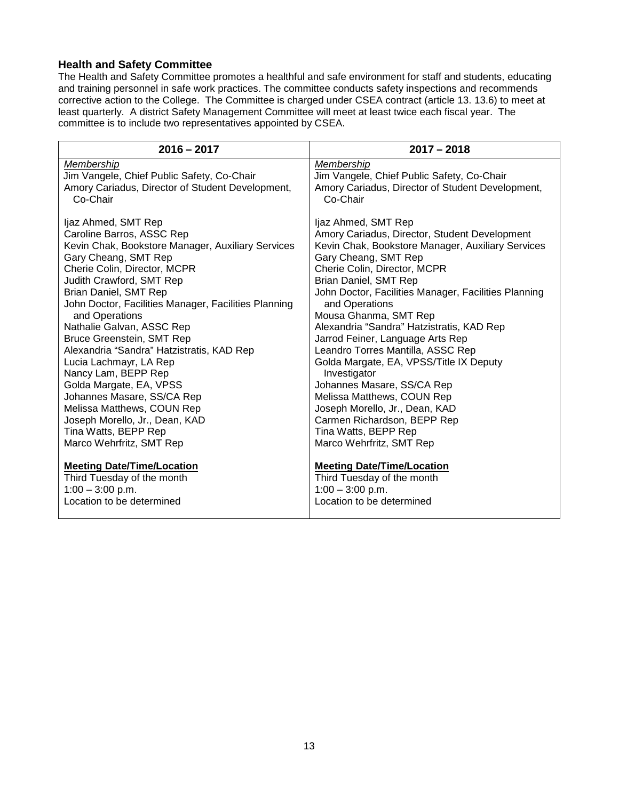### **Health and Safety Committee**

The Health and Safety Committee promotes a healthful and safe environment for staff and students, educating and training personnel in safe work practices. The committee conducts safety inspections and recommends corrective action to the College. The Committee is charged under CSEA contract (article 13. 13.6) to meet at least quarterly. A district Safety Management Committee will meet at least twice each fiscal year. The committee is to include two representatives appointed by CSEA.

| $2016 - 2017$                                        | $2017 - 2018$                                        |
|------------------------------------------------------|------------------------------------------------------|
| Membership                                           | Membership                                           |
| Jim Vangele, Chief Public Safety, Co-Chair           | Jim Vangele, Chief Public Safety, Co-Chair           |
| Amory Cariadus, Director of Student Development,     | Amory Cariadus, Director of Student Development,     |
| Co-Chair                                             | Co-Chair                                             |
| Ijaz Ahmed, SMT Rep                                  | Ijaz Ahmed, SMT Rep                                  |
| Caroline Barros, ASSC Rep                            | Amory Cariadus, Director, Student Development        |
| Kevin Chak, Bookstore Manager, Auxiliary Services    | Kevin Chak, Bookstore Manager, Auxiliary Services    |
| Gary Cheang, SMT Rep                                 | Gary Cheang, SMT Rep                                 |
| Cherie Colin, Director, MCPR                         | Cherie Colin, Director, MCPR                         |
| Judith Crawford, SMT Rep                             | Brian Daniel, SMT Rep                                |
| Brian Daniel, SMT Rep                                | John Doctor, Facilities Manager, Facilities Planning |
| John Doctor, Facilities Manager, Facilities Planning | and Operations                                       |
| and Operations                                       | Mousa Ghanma, SMT Rep                                |
| Nathalie Galvan, ASSC Rep                            | Alexandria "Sandra" Hatzistratis, KAD Rep            |
| Bruce Greenstein, SMT Rep                            | Jarrod Feiner, Language Arts Rep                     |
| Alexandria "Sandra" Hatzistratis, KAD Rep            | Leandro Torres Mantilla, ASSC Rep                    |
| Lucia Lachmayr, LA Rep                               | Golda Margate, EA, VPSS/Title IX Deputy              |
| Nancy Lam, BEPP Rep                                  | Investigator                                         |
| Golda Margate, EA, VPSS                              | Johannes Masare, SS/CA Rep                           |
| Johannes Masare, SS/CA Rep                           | Melissa Matthews, COUN Rep                           |
| Melissa Matthews, COUN Rep                           | Joseph Morello, Jr., Dean, KAD                       |
| Joseph Morello, Jr., Dean, KAD                       | Carmen Richardson, BEPP Rep                          |
| Tina Watts, BEPP Rep                                 | Tina Watts, BEPP Rep                                 |
| Marco Wehrfritz, SMT Rep                             | Marco Wehrfritz, SMT Rep                             |
| <b>Meeting Date/Time/Location</b>                    | <b>Meeting Date/Time/Location</b>                    |
| Third Tuesday of the month                           | Third Tuesday of the month                           |
| $1:00 - 3:00$ p.m.                                   | $1:00 - 3:00$ p.m.                                   |
| Location to be determined                            | Location to be determined                            |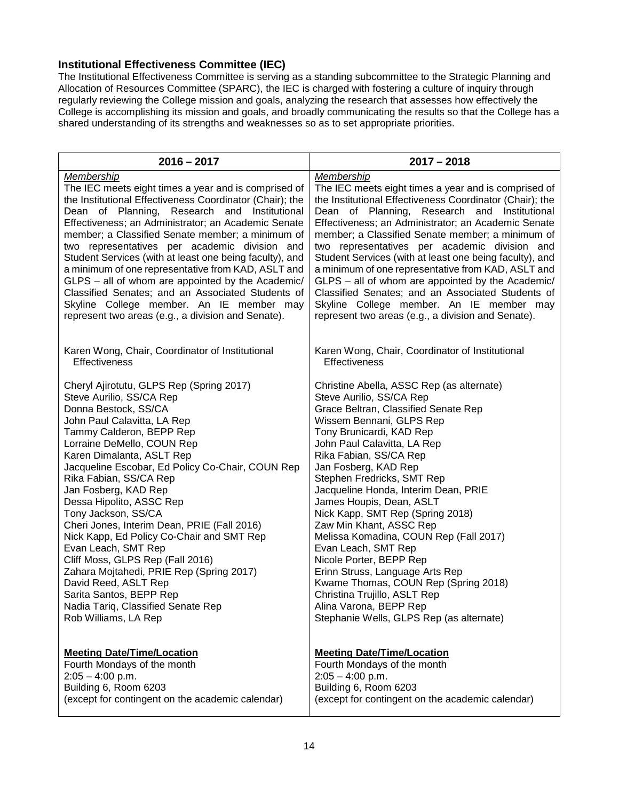### <span id="page-13-0"></span>**Institutional Effectiveness Committee (IEC)**

The Institutional Effectiveness Committee is serving as a standing subcommittee to the Strategic Planning and Allocation of Resources Committee (SPARC), the IEC is charged with fostering a culture of inquiry through regularly reviewing the College mission and goals, analyzing the research that assesses how effectively the College is accomplishing its mission and goals, and broadly communicating the results so that the College has a shared understanding of its strengths and weaknesses so as to set appropriate priorities.

| $2016 - 2017$                                            | $2017 - 2018$                                            |
|----------------------------------------------------------|----------------------------------------------------------|
| Membership                                               | Membership                                               |
| The IEC meets eight times a year and is comprised of     | The IEC meets eight times a year and is comprised of     |
| the Institutional Effectiveness Coordinator (Chair); the | the Institutional Effectiveness Coordinator (Chair); the |
| Dean of Planning, Research and Institutional             | Dean of Planning, Research and Institutional             |
| Effectiveness; an Administrator; an Academic Senate      | Effectiveness; an Administrator; an Academic Senate      |
| member; a Classified Senate member; a minimum of         | member; a Classified Senate member; a minimum of         |
| two representatives per academic division and            | two representatives per academic division and            |
| Student Services (with at least one being faculty), and  | Student Services (with at least one being faculty), and  |
| a minimum of one representative from KAD, ASLT and       | a minimum of one representative from KAD, ASLT and       |
| GLPS - all of whom are appointed by the Academic/        | GLPS - all of whom are appointed by the Academic/        |
| Classified Senates; and an Associated Students of        | Classified Senates; and an Associated Students of        |
| Skyline College member. An IE member may                 | Skyline College member. An IE member may                 |
| represent two areas (e.g., a division and Senate).       | represent two areas (e.g., a division and Senate).       |
| Karen Wong, Chair, Coordinator of Institutional          | Karen Wong, Chair, Coordinator of Institutional          |
| <b>Effectiveness</b>                                     | <b>Effectiveness</b>                                     |
| Cheryl Ajirotutu, GLPS Rep (Spring 2017)                 | Christine Abella, ASSC Rep (as alternate)                |
| Steve Aurilio, SS/CA Rep                                 | Steve Aurilio, SS/CA Rep                                 |
| Donna Bestock, SS/CA                                     | Grace Beltran, Classified Senate Rep                     |
| John Paul Calavitta, LA Rep                              | Wissem Bennani, GLPS Rep                                 |
| Tammy Calderon, BEPP Rep                                 | Tony Brunicardi, KAD Rep                                 |
| Lorraine DeMello, COUN Rep                               | John Paul Calavitta, LA Rep                              |
| Karen Dimalanta, ASLT Rep                                | Rika Fabian, SS/CA Rep                                   |
| Jacqueline Escobar, Ed Policy Co-Chair, COUN Rep         | Jan Fosberg, KAD Rep                                     |
| Rika Fabian, SS/CA Rep                                   | Stephen Fredricks, SMT Rep                               |
| Jan Fosberg, KAD Rep                                     | Jacqueline Honda, Interim Dean, PRIE                     |
| Dessa Hipolito, ASSC Rep                                 | James Houpis, Dean, ASLT                                 |
| Tony Jackson, SS/CA                                      | Nick Kapp, SMT Rep (Spring 2018)                         |
| Cheri Jones, Interim Dean, PRIE (Fall 2016)              | Zaw Min Khant, ASSC Rep                                  |
| Nick Kapp, Ed Policy Co-Chair and SMT Rep                | Melissa Komadina, COUN Rep (Fall 2017)                   |
| Evan Leach, SMT Rep                                      | Evan Leach, SMT Rep                                      |
| Cliff Moss, GLPS Rep (Fall 2016)                         | Nicole Porter, BEPP Rep                                  |
| Zahara Mojtahedi, PRIE Rep (Spring 2017)                 | Erinn Struss, Language Arts Rep                          |
| David Reed, ASLT Rep                                     | Kwame Thomas, COUN Rep (Spring 2018)                     |
| Sarita Santos, BEPP Rep                                  | Christina Trujillo, ASLT Rep                             |
| Nadia Tariq, Classified Senate Rep                       | Alina Varona, BEPP Rep                                   |
| Rob Williams, LA Rep                                     | Stephanie Wells, GLPS Rep (as alternate)                 |
| <b>Meeting Date/Time/Location</b>                        | <b>Meeting Date/Time/Location</b>                        |
| Fourth Mondays of the month                              | Fourth Mondays of the month                              |
| $2:05 - 4:00$ p.m.                                       | $2:05 - 4:00$ p.m.                                       |
| Building 6, Room 6203                                    | Building 6, Room 6203                                    |
| (except for contingent on the academic calendar)         | (except for contingent on the academic calendar)         |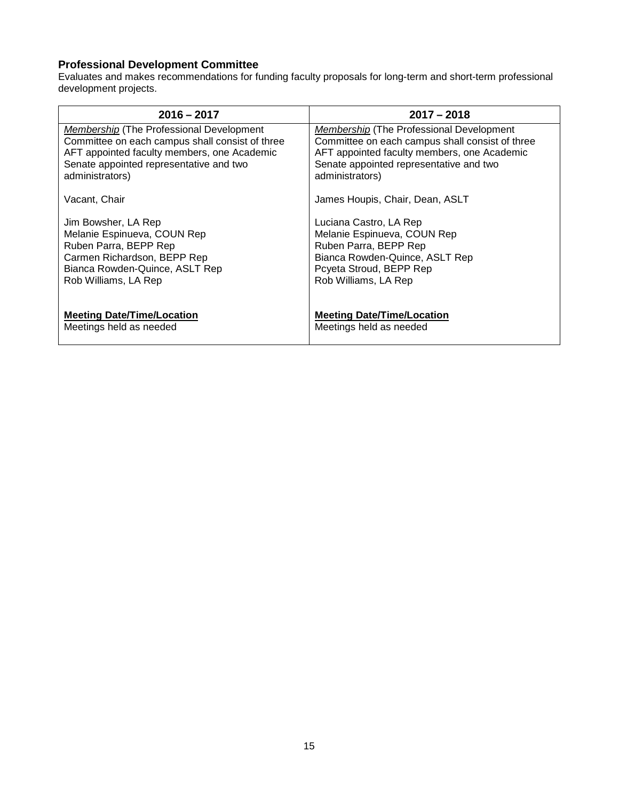# **Professional Development Committee**

Evaluates and makes recommendations for funding faculty proposals for long-term and short-term professional development projects.

| $2016 - 2017$                                   | $2017 - 2018$                                   |
|-------------------------------------------------|-------------------------------------------------|
| <i>Membership</i> (The Professional Development | <i>Membership</i> (The Professional Development |
| Committee on each campus shall consist of three | Committee on each campus shall consist of three |
| AFT appointed faculty members, one Academic     | AFT appointed faculty members, one Academic     |
| Senate appointed representative and two         | Senate appointed representative and two         |
| administrators)                                 | administrators)                                 |
| Vacant, Chair                                   | James Houpis, Chair, Dean, ASLT                 |
| Jim Bowsher, LA Rep                             | Luciana Castro, LA Rep                          |
| Melanie Espinueva, COUN Rep                     | Melanie Espinueva, COUN Rep                     |
| Ruben Parra, BEPP Rep                           | Ruben Parra, BEPP Rep                           |
| Carmen Richardson, BEPP Rep                     | Bianca Rowden-Quince, ASLT Rep                  |
| Bianca Rowden-Quince, ASLT Rep                  | Pcyeta Stroud, BEPP Rep                         |
| Rob Williams, LA Rep                            | Rob Williams, LA Rep                            |
| <b>Meeting Date/Time/Location</b>               | <b>Meeting Date/Time/Location</b>               |
| Meetings held as needed                         | Meetings held as needed                         |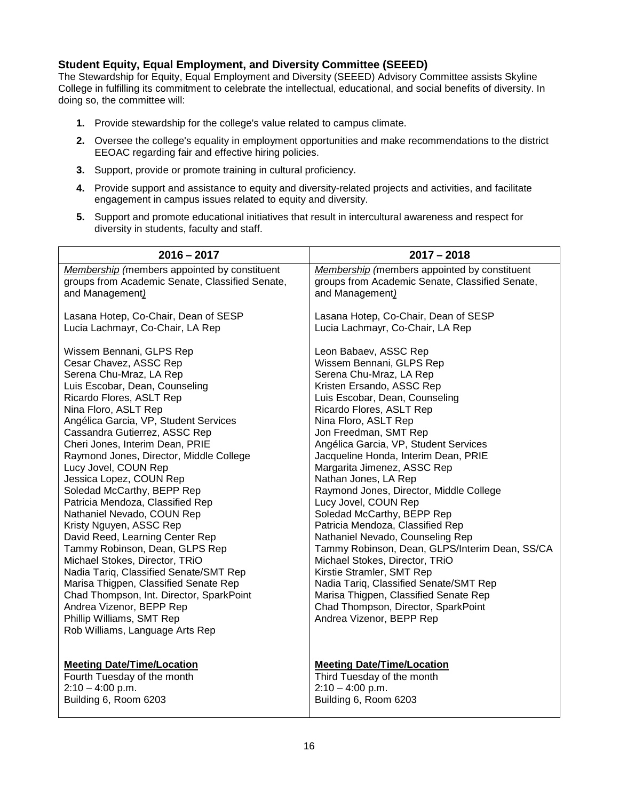### <span id="page-15-0"></span>**Student Equity, Equal Employment, and Diversity Committee (SEEED)**

The Stewardship for Equity, Equal Employment and Diversity (SEEED) Advisory Committee assists Skyline College in fulfilling its commitment to celebrate the intellectual, educational, and social benefits of diversity. In doing so, the committee will:

- **1.** Provide stewardship for the college's value related to campus climate.
- **2.** Oversee the college's equality in employment opportunities and make recommendations to the district EEOAC regarding fair and effective hiring policies.
- **3.** Support, provide or promote training in cultural proficiency.
- **4.** Provide support and assistance to equity and diversity-related projects and activities, and facilitate engagement in campus issues related to equity and diversity.
- **5.** Support and promote educational initiatives that result in intercultural awareness and respect for diversity in students, faculty and staff.

| $2016 - 2017$                                                                                                                                                                                                                                                                                                                                                                                                                                                                                                                                                                                                                                                                                                                                                                                                                               | $2017 - 2018$                                                                                                                                                                                                                                                                                                                                                                                                                                                                                                                                                                                                                                                                                                                                                                                                    |
|---------------------------------------------------------------------------------------------------------------------------------------------------------------------------------------------------------------------------------------------------------------------------------------------------------------------------------------------------------------------------------------------------------------------------------------------------------------------------------------------------------------------------------------------------------------------------------------------------------------------------------------------------------------------------------------------------------------------------------------------------------------------------------------------------------------------------------------------|------------------------------------------------------------------------------------------------------------------------------------------------------------------------------------------------------------------------------------------------------------------------------------------------------------------------------------------------------------------------------------------------------------------------------------------------------------------------------------------------------------------------------------------------------------------------------------------------------------------------------------------------------------------------------------------------------------------------------------------------------------------------------------------------------------------|
| Membership (members appointed by constituent                                                                                                                                                                                                                                                                                                                                                                                                                                                                                                                                                                                                                                                                                                                                                                                                | Membership (members appointed by constituent                                                                                                                                                                                                                                                                                                                                                                                                                                                                                                                                                                                                                                                                                                                                                                     |
| groups from Academic Senate, Classified Senate,                                                                                                                                                                                                                                                                                                                                                                                                                                                                                                                                                                                                                                                                                                                                                                                             | groups from Academic Senate, Classified Senate,                                                                                                                                                                                                                                                                                                                                                                                                                                                                                                                                                                                                                                                                                                                                                                  |
| and Management)                                                                                                                                                                                                                                                                                                                                                                                                                                                                                                                                                                                                                                                                                                                                                                                                                             | and Management)                                                                                                                                                                                                                                                                                                                                                                                                                                                                                                                                                                                                                                                                                                                                                                                                  |
| Lasana Hotep, Co-Chair, Dean of SESP                                                                                                                                                                                                                                                                                                                                                                                                                                                                                                                                                                                                                                                                                                                                                                                                        | Lasana Hotep, Co-Chair, Dean of SESP                                                                                                                                                                                                                                                                                                                                                                                                                                                                                                                                                                                                                                                                                                                                                                             |
| Lucia Lachmayr, Co-Chair, LA Rep                                                                                                                                                                                                                                                                                                                                                                                                                                                                                                                                                                                                                                                                                                                                                                                                            | Lucia Lachmayr, Co-Chair, LA Rep                                                                                                                                                                                                                                                                                                                                                                                                                                                                                                                                                                                                                                                                                                                                                                                 |
| Wissem Bennani, GLPS Rep<br>Cesar Chavez, ASSC Rep<br>Serena Chu-Mraz, LA Rep<br>Luis Escobar, Dean, Counseling<br>Ricardo Flores, ASLT Rep<br>Nina Floro, ASLT Rep<br>Angélica Garcia, VP, Student Services<br>Cassandra Gutierrez, ASSC Rep<br>Cheri Jones, Interim Dean, PRIE<br>Raymond Jones, Director, Middle College<br>Lucy Jovel, COUN Rep<br>Jessica Lopez, COUN Rep<br>Soledad McCarthy, BEPP Rep<br>Patricia Mendoza, Classified Rep<br>Nathaniel Nevado, COUN Rep<br>Kristy Nguyen, ASSC Rep<br>David Reed, Learning Center Rep<br>Tammy Robinson, Dean, GLPS Rep<br>Michael Stokes, Director, TRiO<br>Nadia Tariq, Classified Senate/SMT Rep<br>Marisa Thigpen, Classified Senate Rep<br>Chad Thompson, Int. Director, SparkPoint<br>Andrea Vizenor, BEPP Rep<br>Phillip Williams, SMT Rep<br>Rob Williams, Language Arts Rep | Leon Babaev, ASSC Rep<br>Wissem Bennani, GLPS Rep<br>Serena Chu-Mraz, LA Rep<br>Kristen Ersando, ASSC Rep<br>Luis Escobar, Dean, Counseling<br>Ricardo Flores, ASLT Rep<br>Nina Floro, ASLT Rep<br>Jon Freedman, SMT Rep<br>Angélica Garcia, VP, Student Services<br>Jacqueline Honda, Interim Dean, PRIE<br>Margarita Jimenez, ASSC Rep<br>Nathan Jones, LA Rep<br>Raymond Jones, Director, Middle College<br>Lucy Jovel, COUN Rep<br>Soledad McCarthy, BEPP Rep<br>Patricia Mendoza, Classified Rep<br>Nathaniel Nevado, Counseling Rep<br>Tammy Robinson, Dean, GLPS/Interim Dean, SS/CA<br>Michael Stokes, Director, TRiO<br>Kirstie Stramler, SMT Rep<br>Nadia Tariq, Classified Senate/SMT Rep<br>Marisa Thigpen, Classified Senate Rep<br>Chad Thompson, Director, SparkPoint<br>Andrea Vizenor, BEPP Rep |
| <b>Meeting Date/Time/Location</b>                                                                                                                                                                                                                                                                                                                                                                                                                                                                                                                                                                                                                                                                                                                                                                                                           | <b>Meeting Date/Time/Location</b>                                                                                                                                                                                                                                                                                                                                                                                                                                                                                                                                                                                                                                                                                                                                                                                |
| Fourth Tuesday of the month                                                                                                                                                                                                                                                                                                                                                                                                                                                                                                                                                                                                                                                                                                                                                                                                                 | Third Tuesday of the month                                                                                                                                                                                                                                                                                                                                                                                                                                                                                                                                                                                                                                                                                                                                                                                       |
| $2:10 - 4:00$ p.m.                                                                                                                                                                                                                                                                                                                                                                                                                                                                                                                                                                                                                                                                                                                                                                                                                          | $2:10 - 4:00$ p.m.                                                                                                                                                                                                                                                                                                                                                                                                                                                                                                                                                                                                                                                                                                                                                                                               |
| Building 6, Room 6203                                                                                                                                                                                                                                                                                                                                                                                                                                                                                                                                                                                                                                                                                                                                                                                                                       | Building 6, Room 6203                                                                                                                                                                                                                                                                                                                                                                                                                                                                                                                                                                                                                                                                                                                                                                                            |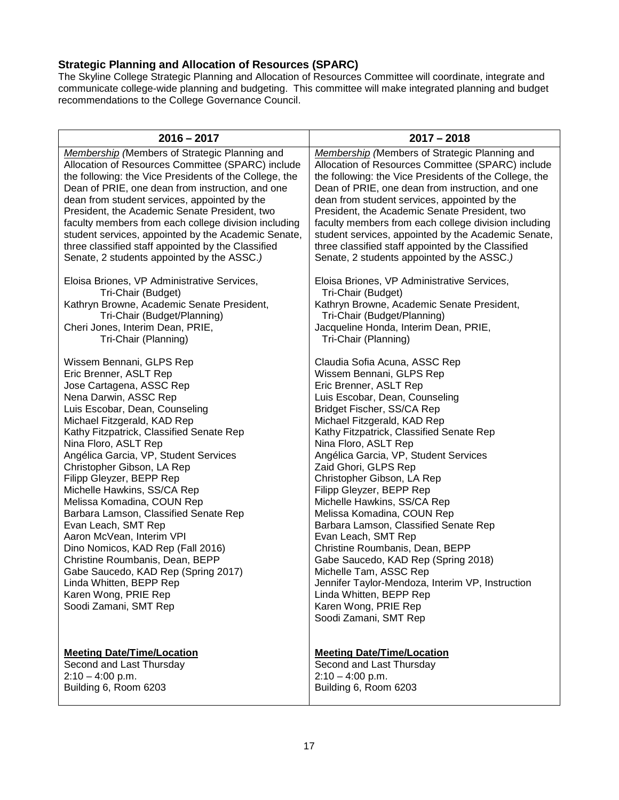# <span id="page-16-0"></span>**Strategic Planning and Allocation of Resources (SPARC)**

The Skyline College Strategic Planning and Allocation of Resources Committee will coordinate, integrate and communicate college-wide planning and budgeting. This committee will make integrated planning and budget recommendations to the College Governance Council.

| $2016 - 2017$                                                                                                                                                                                                                                                                                                                                                                                                                                                                                                                                                                                                                                                                                        | $2017 - 2018$                                                                                                                                                                                                                                                                                                                                                                                                                                                                                                                                                                                                                                                                                                                                      |
|------------------------------------------------------------------------------------------------------------------------------------------------------------------------------------------------------------------------------------------------------------------------------------------------------------------------------------------------------------------------------------------------------------------------------------------------------------------------------------------------------------------------------------------------------------------------------------------------------------------------------------------------------------------------------------------------------|----------------------------------------------------------------------------------------------------------------------------------------------------------------------------------------------------------------------------------------------------------------------------------------------------------------------------------------------------------------------------------------------------------------------------------------------------------------------------------------------------------------------------------------------------------------------------------------------------------------------------------------------------------------------------------------------------------------------------------------------------|
| <b>Membership</b> (Members of Strategic Planning and                                                                                                                                                                                                                                                                                                                                                                                                                                                                                                                                                                                                                                                 | <b>Membership</b> (Members of Strategic Planning and                                                                                                                                                                                                                                                                                                                                                                                                                                                                                                                                                                                                                                                                                               |
| Allocation of Resources Committee (SPARC) include                                                                                                                                                                                                                                                                                                                                                                                                                                                                                                                                                                                                                                                    | Allocation of Resources Committee (SPARC) include                                                                                                                                                                                                                                                                                                                                                                                                                                                                                                                                                                                                                                                                                                  |
| the following: the Vice Presidents of the College, the                                                                                                                                                                                                                                                                                                                                                                                                                                                                                                                                                                                                                                               | the following: the Vice Presidents of the College, the                                                                                                                                                                                                                                                                                                                                                                                                                                                                                                                                                                                                                                                                                             |
| Dean of PRIE, one dean from instruction, and one                                                                                                                                                                                                                                                                                                                                                                                                                                                                                                                                                                                                                                                     | Dean of PRIE, one dean from instruction, and one                                                                                                                                                                                                                                                                                                                                                                                                                                                                                                                                                                                                                                                                                                   |
| dean from student services, appointed by the                                                                                                                                                                                                                                                                                                                                                                                                                                                                                                                                                                                                                                                         | dean from student services, appointed by the                                                                                                                                                                                                                                                                                                                                                                                                                                                                                                                                                                                                                                                                                                       |
| President, the Academic Senate President, two                                                                                                                                                                                                                                                                                                                                                                                                                                                                                                                                                                                                                                                        | President, the Academic Senate President, two                                                                                                                                                                                                                                                                                                                                                                                                                                                                                                                                                                                                                                                                                                      |
| faculty members from each college division including                                                                                                                                                                                                                                                                                                                                                                                                                                                                                                                                                                                                                                                 | faculty members from each college division including                                                                                                                                                                                                                                                                                                                                                                                                                                                                                                                                                                                                                                                                                               |
| student services, appointed by the Academic Senate,                                                                                                                                                                                                                                                                                                                                                                                                                                                                                                                                                                                                                                                  | student services, appointed by the Academic Senate,                                                                                                                                                                                                                                                                                                                                                                                                                                                                                                                                                                                                                                                                                                |
| three classified staff appointed by the Classified                                                                                                                                                                                                                                                                                                                                                                                                                                                                                                                                                                                                                                                   | three classified staff appointed by the Classified                                                                                                                                                                                                                                                                                                                                                                                                                                                                                                                                                                                                                                                                                                 |
| Senate, 2 students appointed by the ASSC.)                                                                                                                                                                                                                                                                                                                                                                                                                                                                                                                                                                                                                                                           | Senate, 2 students appointed by the ASSC.)                                                                                                                                                                                                                                                                                                                                                                                                                                                                                                                                                                                                                                                                                                         |
| Eloisa Briones, VP Administrative Services,                                                                                                                                                                                                                                                                                                                                                                                                                                                                                                                                                                                                                                                          | Eloisa Briones, VP Administrative Services,                                                                                                                                                                                                                                                                                                                                                                                                                                                                                                                                                                                                                                                                                                        |
| Tri-Chair (Budget)                                                                                                                                                                                                                                                                                                                                                                                                                                                                                                                                                                                                                                                                                   | Tri-Chair (Budget)                                                                                                                                                                                                                                                                                                                                                                                                                                                                                                                                                                                                                                                                                                                                 |
| Kathryn Browne, Academic Senate President,                                                                                                                                                                                                                                                                                                                                                                                                                                                                                                                                                                                                                                                           | Kathryn Browne, Academic Senate President,                                                                                                                                                                                                                                                                                                                                                                                                                                                                                                                                                                                                                                                                                                         |
| Tri-Chair (Budget/Planning)                                                                                                                                                                                                                                                                                                                                                                                                                                                                                                                                                                                                                                                                          | Tri-Chair (Budget/Planning)                                                                                                                                                                                                                                                                                                                                                                                                                                                                                                                                                                                                                                                                                                                        |
| Cheri Jones, Interim Dean, PRIE,                                                                                                                                                                                                                                                                                                                                                                                                                                                                                                                                                                                                                                                                     | Jacqueline Honda, Interim Dean, PRIE,                                                                                                                                                                                                                                                                                                                                                                                                                                                                                                                                                                                                                                                                                                              |
| Tri-Chair (Planning)                                                                                                                                                                                                                                                                                                                                                                                                                                                                                                                                                                                                                                                                                 | Tri-Chair (Planning)                                                                                                                                                                                                                                                                                                                                                                                                                                                                                                                                                                                                                                                                                                                               |
| Wissem Bennani, GLPS Rep<br>Eric Brenner, ASLT Rep<br>Jose Cartagena, ASSC Rep<br>Nena Darwin, ASSC Rep<br>Luis Escobar, Dean, Counseling<br>Michael Fitzgerald, KAD Rep<br>Kathy Fitzpatrick, Classified Senate Rep<br>Nina Floro, ASLT Rep<br>Angélica Garcia, VP, Student Services<br>Christopher Gibson, LA Rep<br>Filipp Gleyzer, BEPP Rep<br>Michelle Hawkins, SS/CA Rep<br>Melissa Komadina, COUN Rep<br>Barbara Lamson, Classified Senate Rep<br>Evan Leach, SMT Rep<br>Aaron McVean, Interim VPI<br>Dino Nomicos, KAD Rep (Fall 2016)<br>Christine Roumbanis, Dean, BEPP<br>Gabe Saucedo, KAD Rep (Spring 2017)<br>Linda Whitten, BEPP Rep<br>Karen Wong, PRIE Rep<br>Soodi Zamani, SMT Rep | Claudia Sofia Acuna, ASSC Rep<br>Wissem Bennani, GLPS Rep<br>Eric Brenner, ASLT Rep<br>Luis Escobar, Dean, Counseling<br>Bridget Fischer, SS/CA Rep<br>Michael Fitzgerald, KAD Rep<br>Kathy Fitzpatrick, Classified Senate Rep<br>Nina Floro, ASLT Rep<br>Angélica Garcia, VP, Student Services<br>Zaid Ghori, GLPS Rep<br>Christopher Gibson, LA Rep<br>Filipp Gleyzer, BEPP Rep<br>Michelle Hawkins, SS/CA Rep<br>Melissa Komadina, COUN Rep<br>Barbara Lamson, Classified Senate Rep<br>Evan Leach, SMT Rep<br>Christine Roumbanis, Dean, BEPP<br>Gabe Saucedo, KAD Rep (Spring 2018)<br>Michelle Tam, ASSC Rep<br>Jennifer Taylor-Mendoza, Interim VP, Instruction<br>Linda Whitten, BEPP Rep<br>Karen Wong, PRIE Rep<br>Soodi Zamani, SMT Rep |
| <b>Meeting Date/Time/Location</b>                                                                                                                                                                                                                                                                                                                                                                                                                                                                                                                                                                                                                                                                    | <b>Meeting Date/Time/Location</b>                                                                                                                                                                                                                                                                                                                                                                                                                                                                                                                                                                                                                                                                                                                  |
| Second and Last Thursday                                                                                                                                                                                                                                                                                                                                                                                                                                                                                                                                                                                                                                                                             | Second and Last Thursday                                                                                                                                                                                                                                                                                                                                                                                                                                                                                                                                                                                                                                                                                                                           |
| $2:10 - 4:00$ p.m.                                                                                                                                                                                                                                                                                                                                                                                                                                                                                                                                                                                                                                                                                   | $2:10 - 4:00$ p.m.                                                                                                                                                                                                                                                                                                                                                                                                                                                                                                                                                                                                                                                                                                                                 |
| Building 6, Room 6203                                                                                                                                                                                                                                                                                                                                                                                                                                                                                                                                                                                                                                                                                | Building 6, Room 6203                                                                                                                                                                                                                                                                                                                                                                                                                                                                                                                                                                                                                                                                                                                              |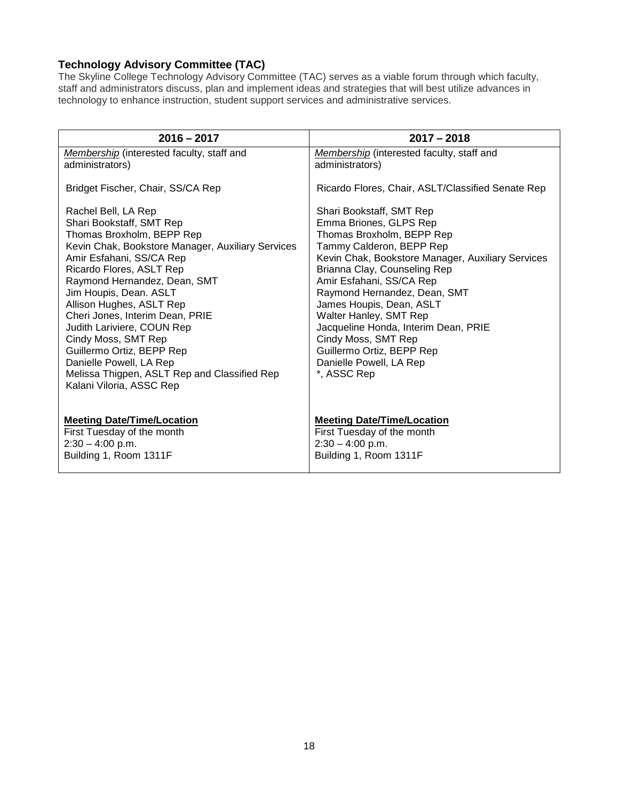# <span id="page-17-0"></span>**Technology Advisory Committee (TAC)**

The Skyline College Technology Advisory Committee (TAC) serves as a viable forum through which faculty, staff and administrators discuss, plan and implement ideas and strategies that will best utilize advances in technology to enhance instruction, student support services and administrative services.

| $2016 - 2017$                                                                                                                                                                                                                                                                                                                                                                                                                                                                                               | $2017 - 2018$                                                                                                                                                                                                                                                                                                                                                                                                                                            |
|-------------------------------------------------------------------------------------------------------------------------------------------------------------------------------------------------------------------------------------------------------------------------------------------------------------------------------------------------------------------------------------------------------------------------------------------------------------------------------------------------------------|----------------------------------------------------------------------------------------------------------------------------------------------------------------------------------------------------------------------------------------------------------------------------------------------------------------------------------------------------------------------------------------------------------------------------------------------------------|
| Membership (interested faculty, staff and<br>administrators)                                                                                                                                                                                                                                                                                                                                                                                                                                                | Membership (interested faculty, staff and<br>administrators)                                                                                                                                                                                                                                                                                                                                                                                             |
| Bridget Fischer, Chair, SS/CA Rep                                                                                                                                                                                                                                                                                                                                                                                                                                                                           | Ricardo Flores, Chair, ASLT/Classified Senate Rep                                                                                                                                                                                                                                                                                                                                                                                                        |
| Rachel Bell, LA Rep<br>Shari Bookstaff, SMT Rep<br>Thomas Broxholm, BEPP Rep<br>Kevin Chak, Bookstore Manager, Auxiliary Services<br>Amir Esfahani, SS/CA Rep<br>Ricardo Flores, ASLT Rep<br>Raymond Hernandez, Dean, SMT<br>Jim Houpis, Dean. ASLT<br>Allison Hughes, ASLT Rep<br>Cheri Jones, Interim Dean, PRIE<br>Judith Lariviere, COUN Rep<br>Cindy Moss, SMT Rep<br>Guillermo Ortiz, BEPP Rep<br>Danielle Powell, LA Rep<br>Melissa Thigpen, ASLT Rep and Classified Rep<br>Kalani Viloria, ASSC Rep | Shari Bookstaff, SMT Rep<br>Emma Briones, GLPS Rep<br>Thomas Broxholm, BEPP Rep<br>Tammy Calderon, BEPP Rep<br>Kevin Chak, Bookstore Manager, Auxiliary Services<br>Brianna Clay, Counseling Rep<br>Amir Esfahani, SS/CA Rep<br>Raymond Hernandez, Dean, SMT<br>James Houpis, Dean, ASLT<br>Walter Hanley, SMT Rep<br>Jacqueline Honda, Interim Dean, PRIE<br>Cindy Moss, SMT Rep<br>Guillermo Ortiz, BEPP Rep<br>Danielle Powell, LA Rep<br>*, ASSC Rep |
| <b>Meeting Date/Time/Location</b><br>First Tuesday of the month<br>$2:30 - 4:00$ p.m.<br>Building 1, Room 1311F                                                                                                                                                                                                                                                                                                                                                                                             | <b>Meeting Date/Time/Location</b><br>First Tuesday of the month<br>$2:30 - 4:00$ p.m.<br>Building 1, Room 1311F                                                                                                                                                                                                                                                                                                                                          |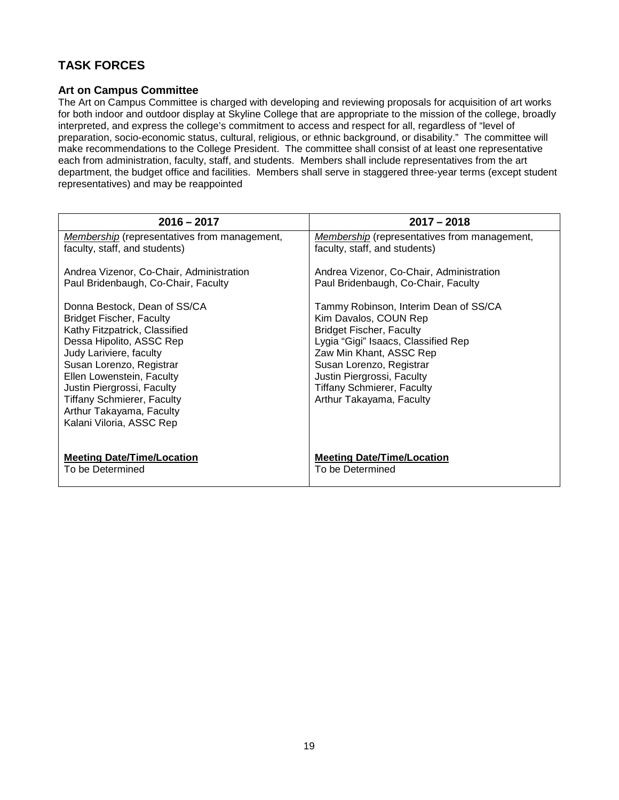# <span id="page-18-0"></span>**TASK FORCES**

#### <span id="page-18-1"></span>**Art on Campus Committee**

The Art on Campus Committee is charged with developing and reviewing proposals for acquisition of art works for both indoor and outdoor display at Skyline College that are appropriate to the mission of the college, broadly interpreted, and express the college's commitment to access and respect for all, regardless of "level of preparation, socio-economic status, cultural, religious, or ethnic background, or disability." The committee will make recommendations to the College President. The committee shall consist of at least one representative each from administration, faculty, staff, and students. Members shall include representatives from the art department, the budget office and facilities. Members shall serve in staggered three-year terms (except student representatives) and may be reappointed

| $2016 - 2017$                                                                                                                                                                                                                                                                                                                               | $2017 - 2018$                                                                                                                                                                                                                                                                                  |
|---------------------------------------------------------------------------------------------------------------------------------------------------------------------------------------------------------------------------------------------------------------------------------------------------------------------------------------------|------------------------------------------------------------------------------------------------------------------------------------------------------------------------------------------------------------------------------------------------------------------------------------------------|
| Membership (representatives from management,                                                                                                                                                                                                                                                                                                | Membership (representatives from management,                                                                                                                                                                                                                                                   |
| faculty, staff, and students)                                                                                                                                                                                                                                                                                                               | faculty, staff, and students)                                                                                                                                                                                                                                                                  |
| Andrea Vizenor, Co-Chair, Administration                                                                                                                                                                                                                                                                                                    | Andrea Vizenor, Co-Chair, Administration                                                                                                                                                                                                                                                       |
| Paul Bridenbaugh, Co-Chair, Faculty                                                                                                                                                                                                                                                                                                         | Paul Bridenbaugh, Co-Chair, Faculty                                                                                                                                                                                                                                                            |
| Donna Bestock, Dean of SS/CA<br><b>Bridget Fischer, Faculty</b><br>Kathy Fitzpatrick, Classified<br>Dessa Hipolito, ASSC Rep<br>Judy Lariviere, faculty<br>Susan Lorenzo, Registrar<br>Ellen Lowenstein, Faculty<br>Justin Piergrossi, Faculty<br><b>Tiffany Schmierer, Faculty</b><br>Arthur Takayama, Faculty<br>Kalani Viloria, ASSC Rep | Tammy Robinson, Interim Dean of SS/CA<br>Kim Davalos, COUN Rep<br><b>Bridget Fischer, Faculty</b><br>Lygia "Gigi" Isaacs, Classified Rep<br>Zaw Min Khant, ASSC Rep<br>Susan Lorenzo, Registrar<br>Justin Piergrossi, Faculty<br><b>Tiffany Schmierer, Faculty</b><br>Arthur Takayama, Faculty |
| <b>Meeting Date/Time/Location</b>                                                                                                                                                                                                                                                                                                           | <b>Meeting Date/Time/Location</b>                                                                                                                                                                                                                                                              |
| To be Determined                                                                                                                                                                                                                                                                                                                            | To be Determined                                                                                                                                                                                                                                                                               |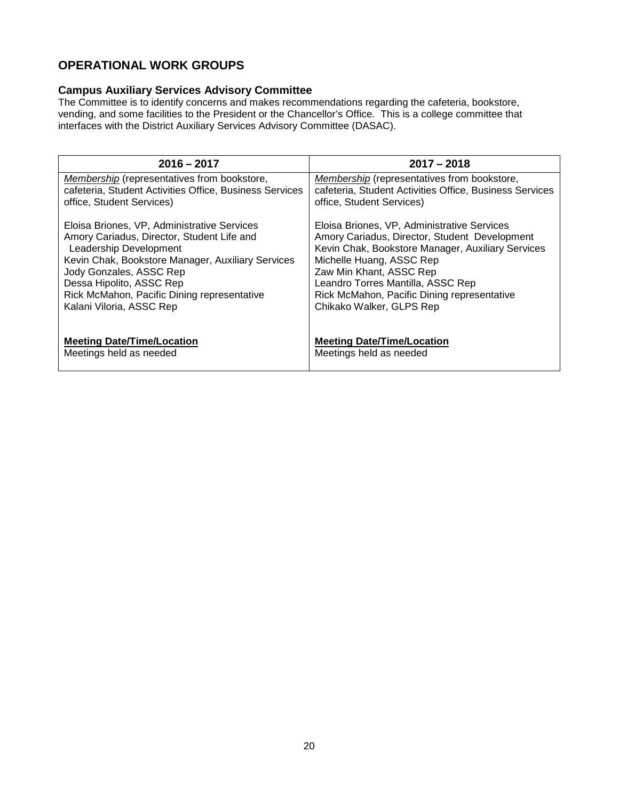# <span id="page-19-0"></span>**OPERATIONAL WORK GROUPS**

### <span id="page-19-1"></span>**Campus Auxiliary Services Advisory Committee**

The Committee is to identify concerns and makes recommendations regarding the cafeteria, bookstore, vending, and some facilities to the President or the Chancellor's Office. This is a college committee that interfaces with the District Auxiliary Services Advisory Committee (DASAC).

| $2016 - 2017$                                                                                                 | $2017 - 2018$                                                                                          |
|---------------------------------------------------------------------------------------------------------------|--------------------------------------------------------------------------------------------------------|
| <b>Membership</b> (representatives from bookstore,<br>cafeteria, Student Activities Office, Business Services | Membership (representatives from bookstore,<br>cafeteria, Student Activities Office, Business Services |
| office, Student Services)                                                                                     | office, Student Services)                                                                              |
| Eloisa Briones, VP, Administrative Services                                                                   | Eloisa Briones, VP, Administrative Services                                                            |
| Amory Cariadus, Director, Student Life and<br>Leadership Development                                          | Amory Cariadus, Director, Student Development<br>Kevin Chak, Bookstore Manager, Auxiliary Services     |
| Kevin Chak, Bookstore Manager, Auxiliary Services<br>Jody Gonzales, ASSC Rep                                  | Michelle Huang, ASSC Rep<br>Zaw Min Khant, ASSC Rep                                                    |
| Dessa Hipolito, ASSC Rep                                                                                      | Leandro Torres Mantilla, ASSC Rep                                                                      |
| Rick McMahon, Pacific Dining representative<br>Kalani Viloria, ASSC Rep                                       | Rick McMahon, Pacific Dining representative<br>Chikako Walker, GLPS Rep                                |
|                                                                                                               |                                                                                                        |
| <b>Meeting Date/Time/Location</b>                                                                             | <b>Meeting Date/Time/Location</b>                                                                      |
| Meetings held as needed                                                                                       | Meetings held as needed                                                                                |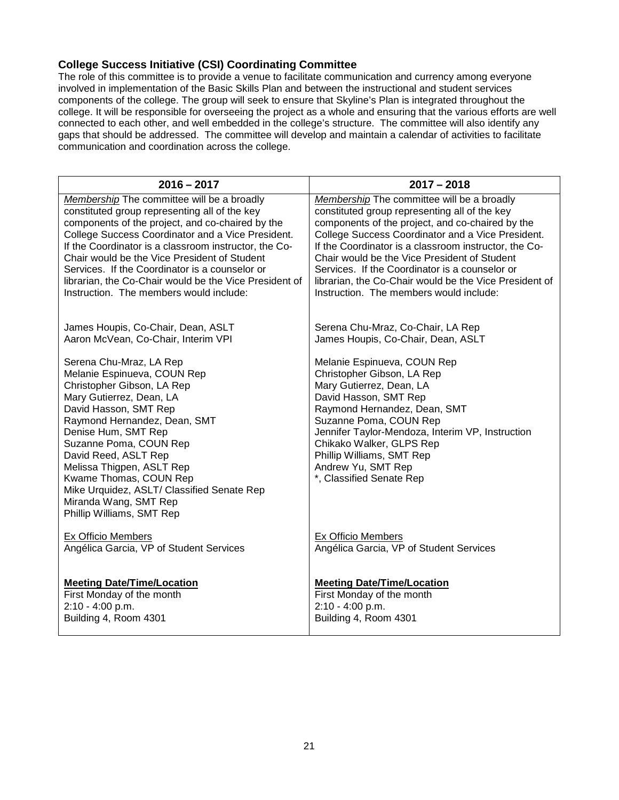#### <span id="page-20-0"></span>**College Success Initiative (CSI) Coordinating Committee**

The role of this committee is to provide a venue to facilitate communication and currency among everyone involved in implementation of the Basic Skills Plan and between the instructional and student services components of the college. The group will seek to ensure that Skyline's Plan is integrated throughout the college. It will be responsible for overseeing the project as a whole and ensuring that the various efforts are well connected to each other, and well embedded in the college's structure. The committee will also identify any gaps that should be addressed. The committee will develop and maintain a calendar of activities to facilitate communication and coordination across the college.

| $2016 - 2017$                                                                                                                                                                                                                                                                                                                                                                                                 | $2017 - 2018$                                                                                                                                                                                                                                                                                                                           |
|---------------------------------------------------------------------------------------------------------------------------------------------------------------------------------------------------------------------------------------------------------------------------------------------------------------------------------------------------------------------------------------------------------------|-----------------------------------------------------------------------------------------------------------------------------------------------------------------------------------------------------------------------------------------------------------------------------------------------------------------------------------------|
| Membership The committee will be a broadly                                                                                                                                                                                                                                                                                                                                                                    | Membership The committee will be a broadly                                                                                                                                                                                                                                                                                              |
| constituted group representing all of the key                                                                                                                                                                                                                                                                                                                                                                 | constituted group representing all of the key                                                                                                                                                                                                                                                                                           |
| components of the project, and co-chaired by the                                                                                                                                                                                                                                                                                                                                                              | components of the project, and co-chaired by the                                                                                                                                                                                                                                                                                        |
| College Success Coordinator and a Vice President.                                                                                                                                                                                                                                                                                                                                                             | College Success Coordinator and a Vice President.                                                                                                                                                                                                                                                                                       |
| If the Coordinator is a classroom instructor, the Co-                                                                                                                                                                                                                                                                                                                                                         | If the Coordinator is a classroom instructor, the Co-                                                                                                                                                                                                                                                                                   |
| Chair would be the Vice President of Student                                                                                                                                                                                                                                                                                                                                                                  | Chair would be the Vice President of Student                                                                                                                                                                                                                                                                                            |
| Services. If the Coordinator is a counselor or                                                                                                                                                                                                                                                                                                                                                                | Services. If the Coordinator is a counselor or                                                                                                                                                                                                                                                                                          |
| librarian, the Co-Chair would be the Vice President of                                                                                                                                                                                                                                                                                                                                                        | librarian, the Co-Chair would be the Vice President of                                                                                                                                                                                                                                                                                  |
| Instruction. The members would include:                                                                                                                                                                                                                                                                                                                                                                       | Instruction. The members would include:                                                                                                                                                                                                                                                                                                 |
| James Houpis, Co-Chair, Dean, ASLT                                                                                                                                                                                                                                                                                                                                                                            | Serena Chu-Mraz, Co-Chair, LA Rep                                                                                                                                                                                                                                                                                                       |
| Aaron McVean, Co-Chair, Interim VPI                                                                                                                                                                                                                                                                                                                                                                           | James Houpis, Co-Chair, Dean, ASLT                                                                                                                                                                                                                                                                                                      |
| Serena Chu-Mraz, LA Rep<br>Melanie Espinueva, COUN Rep<br>Christopher Gibson, LA Rep<br>Mary Gutierrez, Dean, LA<br>David Hasson, SMT Rep<br>Raymond Hernandez, Dean, SMT<br>Denise Hum, SMT Rep<br>Suzanne Poma, COUN Rep<br>David Reed, ASLT Rep<br>Melissa Thigpen, ASLT Rep<br>Kwame Thomas, COUN Rep<br>Mike Urquidez, ASLT/ Classified Senate Rep<br>Miranda Wang, SMT Rep<br>Phillip Williams, SMT Rep | Melanie Espinueva, COUN Rep<br>Christopher Gibson, LA Rep<br>Mary Gutierrez, Dean, LA<br>David Hasson, SMT Rep<br>Raymond Hernandez, Dean, SMT<br>Suzanne Poma, COUN Rep<br>Jennifer Taylor-Mendoza, Interim VP, Instruction<br>Chikako Walker, GLPS Rep<br>Phillip Williams, SMT Rep<br>Andrew Yu, SMT Rep<br>*, Classified Senate Rep |
| <b>Ex Officio Members</b>                                                                                                                                                                                                                                                                                                                                                                                     | <b>Ex Officio Members</b>                                                                                                                                                                                                                                                                                                               |
| Angélica Garcia, VP of Student Services                                                                                                                                                                                                                                                                                                                                                                       | Angélica Garcia, VP of Student Services                                                                                                                                                                                                                                                                                                 |
| <b>Meeting Date/Time/Location</b>                                                                                                                                                                                                                                                                                                                                                                             | <b>Meeting Date/Time/Location</b>                                                                                                                                                                                                                                                                                                       |
| First Monday of the month                                                                                                                                                                                                                                                                                                                                                                                     | First Monday of the month                                                                                                                                                                                                                                                                                                               |
| 2:10 - 4:00 p.m.                                                                                                                                                                                                                                                                                                                                                                                              | 2:10 - 4:00 p.m.                                                                                                                                                                                                                                                                                                                        |
| Building 4, Room 4301                                                                                                                                                                                                                                                                                                                                                                                         | Building 4, Room 4301                                                                                                                                                                                                                                                                                                                   |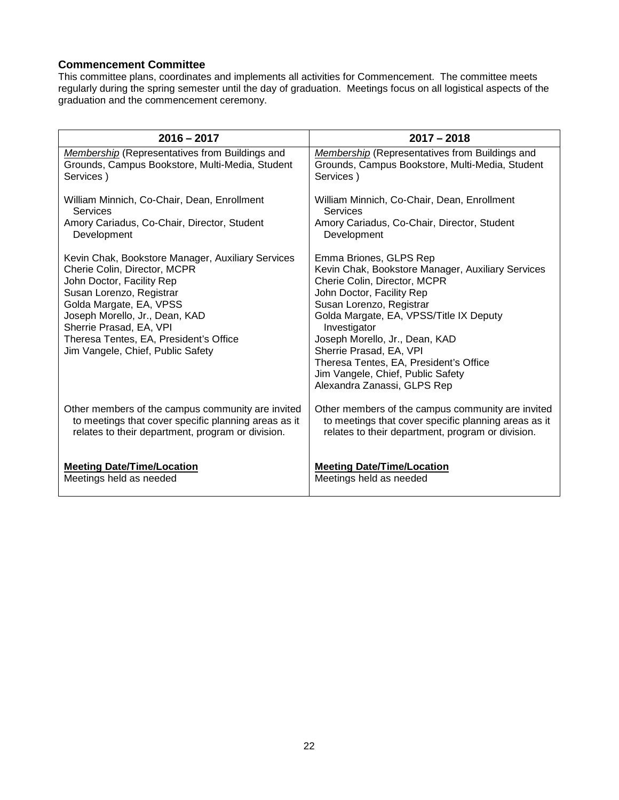#### <span id="page-21-0"></span>**Commencement Committee**

This committee plans, coordinates and implements all activities for Commencement. The committee meets regularly during the spring semester until the day of graduation. Meetings focus on all logistical aspects of the graduation and the commencement ceremony.

| $2016 - 2017$                                                                                                                                                                                                                                                                                                     | $2017 - 2018$                                                                                                                                                                                                                                                                                                                                                                                              |
|-------------------------------------------------------------------------------------------------------------------------------------------------------------------------------------------------------------------------------------------------------------------------------------------------------------------|------------------------------------------------------------------------------------------------------------------------------------------------------------------------------------------------------------------------------------------------------------------------------------------------------------------------------------------------------------------------------------------------------------|
| Membership (Representatives from Buildings and                                                                                                                                                                                                                                                                    | Membership (Representatives from Buildings and                                                                                                                                                                                                                                                                                                                                                             |
| Grounds, Campus Bookstore, Multi-Media, Student                                                                                                                                                                                                                                                                   | Grounds, Campus Bookstore, Multi-Media, Student                                                                                                                                                                                                                                                                                                                                                            |
| Services)                                                                                                                                                                                                                                                                                                         | Services)                                                                                                                                                                                                                                                                                                                                                                                                  |
| William Minnich, Co-Chair, Dean, Enrollment                                                                                                                                                                                                                                                                       | William Minnich, Co-Chair, Dean, Enrollment                                                                                                                                                                                                                                                                                                                                                                |
| Services                                                                                                                                                                                                                                                                                                          | Services                                                                                                                                                                                                                                                                                                                                                                                                   |
| Amory Cariadus, Co-Chair, Director, Student                                                                                                                                                                                                                                                                       | Amory Cariadus, Co-Chair, Director, Student                                                                                                                                                                                                                                                                                                                                                                |
| Development                                                                                                                                                                                                                                                                                                       | Development                                                                                                                                                                                                                                                                                                                                                                                                |
| Kevin Chak, Bookstore Manager, Auxiliary Services<br>Cherie Colin, Director, MCPR<br>John Doctor, Facility Rep<br>Susan Lorenzo, Registrar<br>Golda Margate, EA, VPSS<br>Joseph Morello, Jr., Dean, KAD<br>Sherrie Prasad, EA, VPI<br>Theresa Tentes, EA, President's Office<br>Jim Vangele, Chief, Public Safety | Emma Briones, GLPS Rep<br>Kevin Chak, Bookstore Manager, Auxiliary Services<br>Cherie Colin, Director, MCPR<br>John Doctor, Facility Rep<br>Susan Lorenzo, Registrar<br>Golda Margate, EA, VPSS/Title IX Deputy<br>Investigator<br>Joseph Morello, Jr., Dean, KAD<br>Sherrie Prasad, EA, VPI<br>Theresa Tentes, EA, President's Office<br>Jim Vangele, Chief, Public Safety<br>Alexandra Zanassi, GLPS Rep |
| Other members of the campus community are invited                                                                                                                                                                                                                                                                 | Other members of the campus community are invited                                                                                                                                                                                                                                                                                                                                                          |
| to meetings that cover specific planning areas as it                                                                                                                                                                                                                                                              | to meetings that cover specific planning areas as it                                                                                                                                                                                                                                                                                                                                                       |
| relates to their department, program or division.                                                                                                                                                                                                                                                                 | relates to their department, program or division.                                                                                                                                                                                                                                                                                                                                                          |
| <b>Meeting Date/Time/Location</b>                                                                                                                                                                                                                                                                                 | <b>Meeting Date/Time/Location</b>                                                                                                                                                                                                                                                                                                                                                                          |
| Meetings held as needed                                                                                                                                                                                                                                                                                           | Meetings held as needed                                                                                                                                                                                                                                                                                                                                                                                    |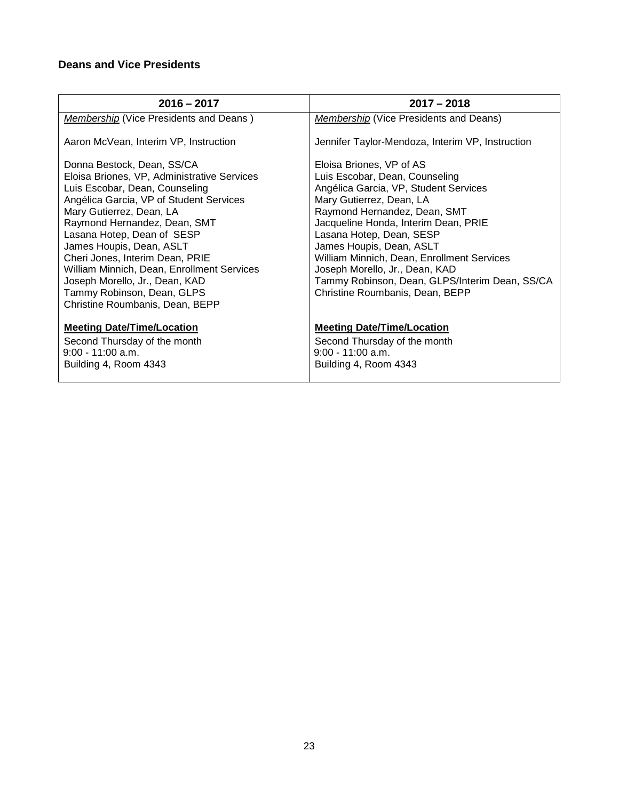# <span id="page-22-0"></span>**Deans and Vice Presidents**

| $2016 - 2017$                                                                                                                                                                                                                                                                                                                                                                                                                                                    | $2017 - 2018$                                                                                                                                                                                                                                                                                                                                                                                                                        |
|------------------------------------------------------------------------------------------------------------------------------------------------------------------------------------------------------------------------------------------------------------------------------------------------------------------------------------------------------------------------------------------------------------------------------------------------------------------|--------------------------------------------------------------------------------------------------------------------------------------------------------------------------------------------------------------------------------------------------------------------------------------------------------------------------------------------------------------------------------------------------------------------------------------|
| <b>Membership (Vice Presidents and Deans)</b>                                                                                                                                                                                                                                                                                                                                                                                                                    | <b>Membership</b> (Vice Presidents and Deans)                                                                                                                                                                                                                                                                                                                                                                                        |
| Aaron McVean, Interim VP, Instruction                                                                                                                                                                                                                                                                                                                                                                                                                            | Jennifer Taylor-Mendoza, Interim VP, Instruction                                                                                                                                                                                                                                                                                                                                                                                     |
| Donna Bestock, Dean, SS/CA<br>Eloisa Briones, VP, Administrative Services<br>Luis Escobar, Dean, Counseling<br>Angélica Garcia, VP of Student Services<br>Mary Gutierrez, Dean, LA<br>Raymond Hernandez, Dean, SMT<br>Lasana Hotep, Dean of SESP<br>James Houpis, Dean, ASLT<br>Cheri Jones, Interim Dean, PRIE<br>William Minnich, Dean, Enrollment Services<br>Joseph Morello, Jr., Dean, KAD<br>Tammy Robinson, Dean, GLPS<br>Christine Roumbanis, Dean, BEPP | Eloisa Briones, VP of AS<br>Luis Escobar, Dean, Counseling<br>Angélica Garcia, VP, Student Services<br>Mary Gutierrez, Dean, LA<br>Raymond Hernandez, Dean, SMT<br>Jacqueline Honda, Interim Dean, PRIE<br>Lasana Hotep, Dean, SESP<br>James Houpis, Dean, ASLT<br>William Minnich, Dean, Enrollment Services<br>Joseph Morello, Jr., Dean, KAD<br>Tammy Robinson, Dean, GLPS/Interim Dean, SS/CA<br>Christine Roumbanis, Dean, BEPP |
| <b>Meeting Date/Time/Location</b><br>Second Thursday of the month<br>$9:00 - 11:00$ a.m.<br>Building 4, Room 4343                                                                                                                                                                                                                                                                                                                                                | <b>Meeting Date/Time/Location</b><br>Second Thursday of the month<br>$9:00 - 11:00$ a.m.<br>Building 4, Room 4343                                                                                                                                                                                                                                                                                                                    |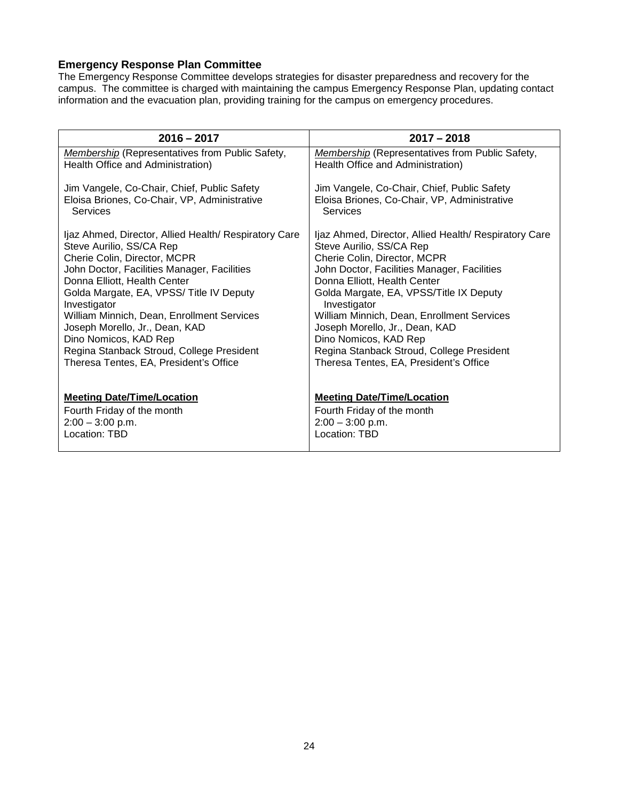### <span id="page-23-0"></span>**Emergency Response Plan Committee**

The Emergency Response Committee develops strategies for disaster preparedness and recovery for the campus. The committee is charged with maintaining the campus Emergency Response Plan, updating contact information and the evacuation plan, providing training for the campus on emergency procedures.

| $2016 - 2017$                                          | $2017 - 2018$                                          |
|--------------------------------------------------------|--------------------------------------------------------|
| <b>Membership (Representatives from Public Safety,</b> | <b>Membership (Representatives from Public Safety,</b> |
| Health Office and Administration)                      | Health Office and Administration)                      |
| Jim Vangele, Co-Chair, Chief, Public Safety            | Jim Vangele, Co-Chair, Chief, Public Safety            |
| Eloisa Briones, Co-Chair, VP, Administrative           | Eloisa Briones, Co-Chair, VP, Administrative           |
| Services                                               | <b>Services</b>                                        |
| Ijaz Ahmed, Director, Allied Health/ Respiratory Care  | Ijaz Ahmed, Director, Allied Health/ Respiratory Care  |
| Steve Aurilio, SS/CA Rep                               | Steve Aurilio, SS/CA Rep                               |
| Cherie Colin, Director, MCPR                           | Cherie Colin, Director, MCPR                           |
| John Doctor, Facilities Manager, Facilities            | John Doctor, Facilities Manager, Facilities            |
| Donna Elliott, Health Center                           | Donna Elliott, Health Center                           |
| Golda Margate, EA, VPSS/ Title IV Deputy               | Golda Margate, EA, VPSS/Title IX Deputy                |
| Investigator                                           | Investigator                                           |
| William Minnich, Dean, Enrollment Services             | William Minnich, Dean, Enrollment Services             |
| Joseph Morello, Jr., Dean, KAD                         | Joseph Morello, Jr., Dean, KAD                         |
| Dino Nomicos, KAD Rep                                  | Dino Nomicos, KAD Rep                                  |
| Regina Stanback Stroud, College President              | Regina Stanback Stroud, College President              |
| Theresa Tentes, EA, President's Office                 | Theresa Tentes, EA, President's Office                 |
| <b>Meeting Date/Time/Location</b>                      | <b>Meeting Date/Time/Location</b>                      |
| Fourth Friday of the month                             | Fourth Friday of the month                             |
| $2:00 - 3:00$ p.m.                                     | $2:00 - 3:00$ p.m.                                     |
| Location: TBD                                          | Location: TBD                                          |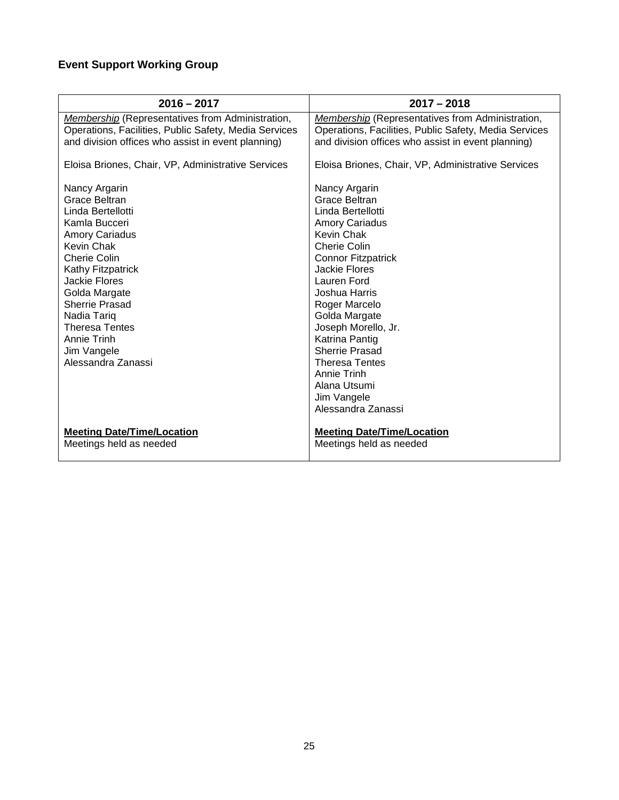# <span id="page-24-0"></span>**Event Support Working Group**

| $2016 - 2017$                                           | $2017 - 2018$                                           |
|---------------------------------------------------------|---------------------------------------------------------|
| <b>Membership</b> (Representatives from Administration, | <b>Membership</b> (Representatives from Administration, |
| Operations, Facilities, Public Safety, Media Services   | Operations, Facilities, Public Safety, Media Services   |
| and division offices who assist in event planning)      | and division offices who assist in event planning)      |
| Eloisa Briones, Chair, VP, Administrative Services      | Eloisa Briones, Chair, VP, Administrative Services      |
| Nancy Argarin                                           | Nancy Argarin                                           |
| Grace Beltran                                           | Grace Beltran                                           |
| Linda Bertellotti                                       | Linda Bertellotti                                       |
| Kamla Bucceri                                           | <b>Amory Cariadus</b>                                   |
| <b>Amory Cariadus</b>                                   | Kevin Chak                                              |
| Kevin Chak                                              | Cherie Colin                                            |
| Cherie Colin                                            | <b>Connor Fitzpatrick</b>                               |
| Kathy Fitzpatrick                                       | <b>Jackie Flores</b>                                    |
| Jackie Flores                                           | Lauren Ford                                             |
| Golda Margate                                           | Joshua Harris                                           |
| <b>Sherrie Prasad</b>                                   | Roger Marcelo                                           |
| Nadia Tariq                                             | Golda Margate                                           |
| <b>Theresa Tentes</b>                                   | Joseph Morello, Jr.                                     |
| Annie Trinh                                             | Katrina Pantig                                          |
| Jim Vangele                                             | Sherrie Prasad                                          |
| Alessandra Zanassi                                      | <b>Theresa Tentes</b>                                   |
|                                                         | Annie Trinh                                             |
|                                                         | Alana Utsumi                                            |
|                                                         | Jim Vangele                                             |
|                                                         | Alessandra Zanassi                                      |
| <b>Meeting Date/Time/Location</b>                       | <b>Meeting Date/Time/Location</b>                       |
| Meetings held as needed                                 | Meetings held as needed                                 |
|                                                         |                                                         |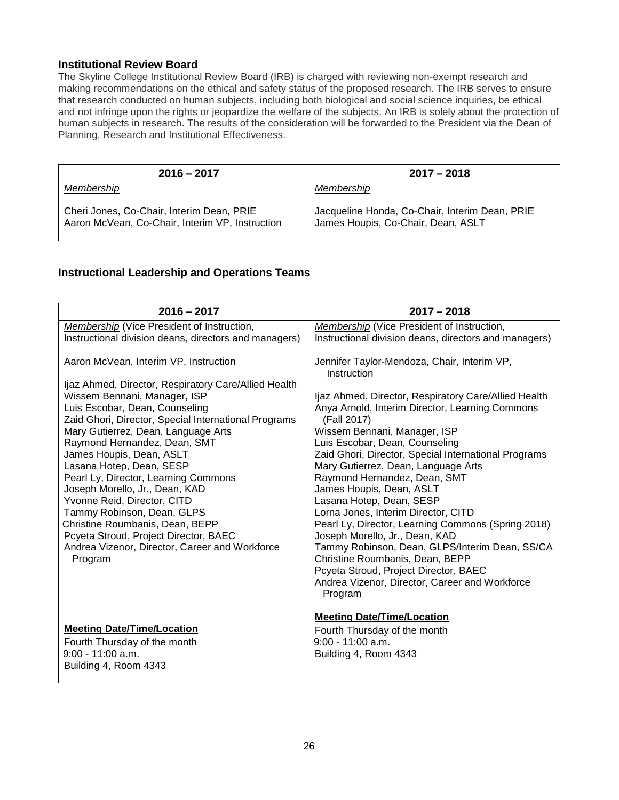#### <span id="page-25-0"></span>**Institutional Review Board**

The Skyline College Institutional Review Board (IRB) is charged with reviewing non-exempt research and making recommendations on the ethical and safety status of the proposed research. The IRB serves to ensure that research conducted on human subjects, including both biological and social science inquiries, be ethical and not infringe upon the rights or jeopardize the welfare of the subjects. An IRB is solely about the protection of human subjects in research. The results of the consideration will be forwarded to the President via the Dean of Planning, Research and Institutional Effectiveness.

| $2016 - 2017$                                                                                | $2017 - 2018$                                                                        |
|----------------------------------------------------------------------------------------------|--------------------------------------------------------------------------------------|
| Membership                                                                                   | Membership                                                                           |
| Cheri Jones, Co-Chair, Interim Dean, PRIE<br>Aaron McVean, Co-Chair, Interim VP, Instruction | Jacqueline Honda, Co-Chair, Interim Dean, PRIE<br>James Houpis, Co-Chair, Dean, ASLT |

### <span id="page-25-1"></span>**Instructional Leadership and Operations Teams**

| $2016 - 2017$                                                                                                                                                                                                                                                                                                                                                                                                                                                                                                                                                                                                                          | $2017 - 2018$                                                                                                                                                                                                                                                                                                                                                                                                                                                                                                                                                                                                                                                                                                                                                |
|----------------------------------------------------------------------------------------------------------------------------------------------------------------------------------------------------------------------------------------------------------------------------------------------------------------------------------------------------------------------------------------------------------------------------------------------------------------------------------------------------------------------------------------------------------------------------------------------------------------------------------------|--------------------------------------------------------------------------------------------------------------------------------------------------------------------------------------------------------------------------------------------------------------------------------------------------------------------------------------------------------------------------------------------------------------------------------------------------------------------------------------------------------------------------------------------------------------------------------------------------------------------------------------------------------------------------------------------------------------------------------------------------------------|
| Membership (Vice President of Instruction,                                                                                                                                                                                                                                                                                                                                                                                                                                                                                                                                                                                             | Membership (Vice President of Instruction,                                                                                                                                                                                                                                                                                                                                                                                                                                                                                                                                                                                                                                                                                                                   |
| Instructional division deans, directors and managers)                                                                                                                                                                                                                                                                                                                                                                                                                                                                                                                                                                                  | Instructional division deans, directors and managers)                                                                                                                                                                                                                                                                                                                                                                                                                                                                                                                                                                                                                                                                                                        |
| Aaron McVean, Interim VP, Instruction<br>Ijaz Ahmed, Director, Respiratory Care/Allied Health<br>Wissem Bennani, Manager, ISP<br>Luis Escobar, Dean, Counseling<br>Zaid Ghori, Director, Special International Programs<br>Mary Gutierrez, Dean, Language Arts<br>Raymond Hernandez, Dean, SMT<br>James Houpis, Dean, ASLT<br>Lasana Hotep, Dean, SESP<br>Pearl Ly, Director, Learning Commons<br>Joseph Morello, Jr., Dean, KAD<br>Yvonne Reid, Director, CITD<br>Tammy Robinson, Dean, GLPS<br>Christine Roumbanis, Dean, BEPP<br>Pcyeta Stroud, Project Director, BAEC<br>Andrea Vizenor, Director, Career and Workforce<br>Program | Jennifer Taylor-Mendoza, Chair, Interim VP,<br>Instruction<br>Ijaz Ahmed, Director, Respiratory Care/Allied Health<br>Anya Arnold, Interim Director, Learning Commons<br>(Fall 2017)<br>Wissem Bennani, Manager, ISP<br>Luis Escobar, Dean, Counseling<br>Zaid Ghori, Director, Special International Programs<br>Mary Gutierrez, Dean, Language Arts<br>Raymond Hernandez, Dean, SMT<br>James Houpis, Dean, ASLT<br>Lasana Hotep, Dean, SESP<br>Lorna Jones, Interim Director, CITD<br>Pearl Ly, Director, Learning Commons (Spring 2018)<br>Joseph Morello, Jr., Dean, KAD<br>Tammy Robinson, Dean, GLPS/Interim Dean, SS/CA<br>Christine Roumbanis, Dean, BEPP<br>Pcyeta Stroud, Project Director, BAEC<br>Andrea Vizenor, Director, Career and Workforce |
| <b>Meeting Date/Time/Location</b><br>Fourth Thursday of the month<br>$9:00 - 11:00$ a.m.<br>Building 4, Room 4343                                                                                                                                                                                                                                                                                                                                                                                                                                                                                                                      | Program<br><b>Meeting Date/Time/Location</b><br>Fourth Thursday of the month<br>$9:00 - 11:00$ a.m.<br>Building 4, Room 4343                                                                                                                                                                                                                                                                                                                                                                                                                                                                                                                                                                                                                                 |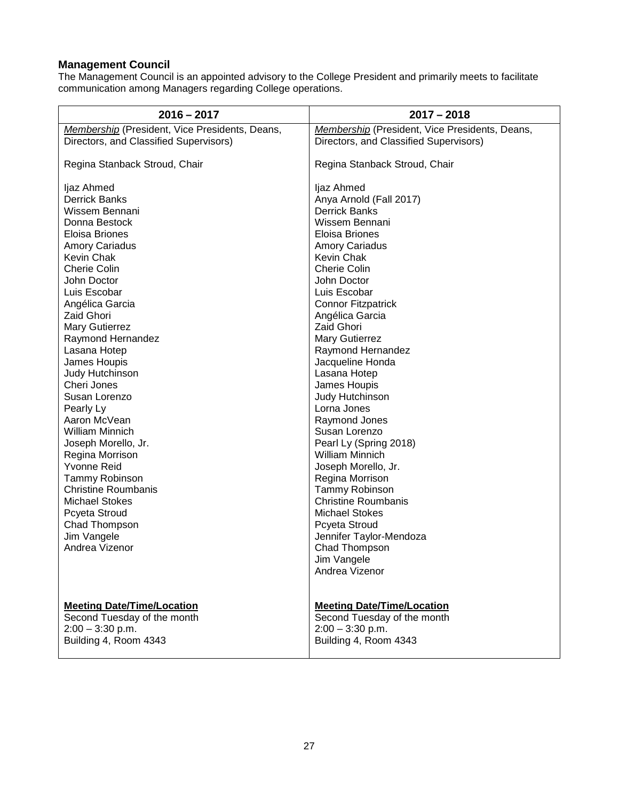### <span id="page-26-0"></span>**Management Council**

The Management Council is an appointed advisory to the College President and primarily meets to facilitate communication among Managers regarding College operations.

| Membership (President, Vice Presidents, Deans,<br>Membership (President, Vice Presidents, Deans,<br>Directors, and Classified Supervisors)<br>Directors, and Classified Supervisors)<br>Regina Stanback Stroud, Chair<br>Regina Stanback Stroud, Chair<br>ljaz Ahmed<br>ljaz Ahmed<br><b>Derrick Banks</b><br>Anya Arnold (Fall 2017)<br><b>Derrick Banks</b><br>Wissem Bennani<br>Donna Bestock<br>Wissem Bennani<br>Eloisa Briones<br>Eloisa Briones |
|--------------------------------------------------------------------------------------------------------------------------------------------------------------------------------------------------------------------------------------------------------------------------------------------------------------------------------------------------------------------------------------------------------------------------------------------------------|
|                                                                                                                                                                                                                                                                                                                                                                                                                                                        |
|                                                                                                                                                                                                                                                                                                                                                                                                                                                        |
|                                                                                                                                                                                                                                                                                                                                                                                                                                                        |
|                                                                                                                                                                                                                                                                                                                                                                                                                                                        |
|                                                                                                                                                                                                                                                                                                                                                                                                                                                        |
|                                                                                                                                                                                                                                                                                                                                                                                                                                                        |
|                                                                                                                                                                                                                                                                                                                                                                                                                                                        |
|                                                                                                                                                                                                                                                                                                                                                                                                                                                        |
| <b>Amory Cariadus</b><br><b>Amory Cariadus</b>                                                                                                                                                                                                                                                                                                                                                                                                         |
| Kevin Chak<br>Kevin Chak                                                                                                                                                                                                                                                                                                                                                                                                                               |
| <b>Cherie Colin</b><br><b>Cherie Colin</b>                                                                                                                                                                                                                                                                                                                                                                                                             |
| John Doctor<br>John Doctor                                                                                                                                                                                                                                                                                                                                                                                                                             |
| Luis Escobar<br>Luis Escobar                                                                                                                                                                                                                                                                                                                                                                                                                           |
| Angélica Garcia<br><b>Connor Fitzpatrick</b><br><b>Zaid Ghori</b>                                                                                                                                                                                                                                                                                                                                                                                      |
| Angélica Garcia<br><b>Zaid Ghori</b><br><b>Mary Gutierrez</b>                                                                                                                                                                                                                                                                                                                                                                                          |
| Raymond Hernandez<br><b>Mary Gutierrez</b>                                                                                                                                                                                                                                                                                                                                                                                                             |
| Raymond Hernandez<br>Lasana Hotep                                                                                                                                                                                                                                                                                                                                                                                                                      |
| Jacqueline Honda<br>James Houpis                                                                                                                                                                                                                                                                                                                                                                                                                       |
| Judy Hutchinson<br>Lasana Hotep                                                                                                                                                                                                                                                                                                                                                                                                                        |
| Cheri Jones<br>James Houpis                                                                                                                                                                                                                                                                                                                                                                                                                            |
| Susan Lorenzo<br>Judy Hutchinson                                                                                                                                                                                                                                                                                                                                                                                                                       |
| Lorna Jones<br>Pearly Ly                                                                                                                                                                                                                                                                                                                                                                                                                               |
| Aaron McVean<br>Raymond Jones                                                                                                                                                                                                                                                                                                                                                                                                                          |
| <b>William Minnich</b><br>Susan Lorenzo                                                                                                                                                                                                                                                                                                                                                                                                                |
| Pearl Ly (Spring 2018)<br>Joseph Morello, Jr.                                                                                                                                                                                                                                                                                                                                                                                                          |
| <b>William Minnich</b><br>Regina Morrison                                                                                                                                                                                                                                                                                                                                                                                                              |
| <b>Yvonne Reid</b><br>Joseph Morello, Jr.                                                                                                                                                                                                                                                                                                                                                                                                              |
| Tammy Robinson<br>Regina Morrison                                                                                                                                                                                                                                                                                                                                                                                                                      |
| <b>Christine Roumbanis</b><br>Tammy Robinson                                                                                                                                                                                                                                                                                                                                                                                                           |
| <b>Christine Roumbanis</b><br><b>Michael Stokes</b>                                                                                                                                                                                                                                                                                                                                                                                                    |
| <b>Michael Stokes</b><br>Pcyeta Stroud                                                                                                                                                                                                                                                                                                                                                                                                                 |
| Chad Thompson<br>Pcyeta Stroud                                                                                                                                                                                                                                                                                                                                                                                                                         |
| Jim Vangele<br>Jennifer Taylor-Mendoza<br>Andrea Vizenor<br>Chad Thompson                                                                                                                                                                                                                                                                                                                                                                              |
| Jim Vangele                                                                                                                                                                                                                                                                                                                                                                                                                                            |
| Andrea Vizenor                                                                                                                                                                                                                                                                                                                                                                                                                                         |
|                                                                                                                                                                                                                                                                                                                                                                                                                                                        |
|                                                                                                                                                                                                                                                                                                                                                                                                                                                        |
| <b>Meeting Date/Time/Location</b><br><b>Meeting Date/Time/Location</b>                                                                                                                                                                                                                                                                                                                                                                                 |
| Second Tuesday of the month<br>Second Tuesday of the month                                                                                                                                                                                                                                                                                                                                                                                             |
| $2:00 - 3:30$ p.m.<br>$2:00 - 3:30$ p.m.<br>Building 4, Room 4343                                                                                                                                                                                                                                                                                                                                                                                      |
| Building 4, Room 4343                                                                                                                                                                                                                                                                                                                                                                                                                                  |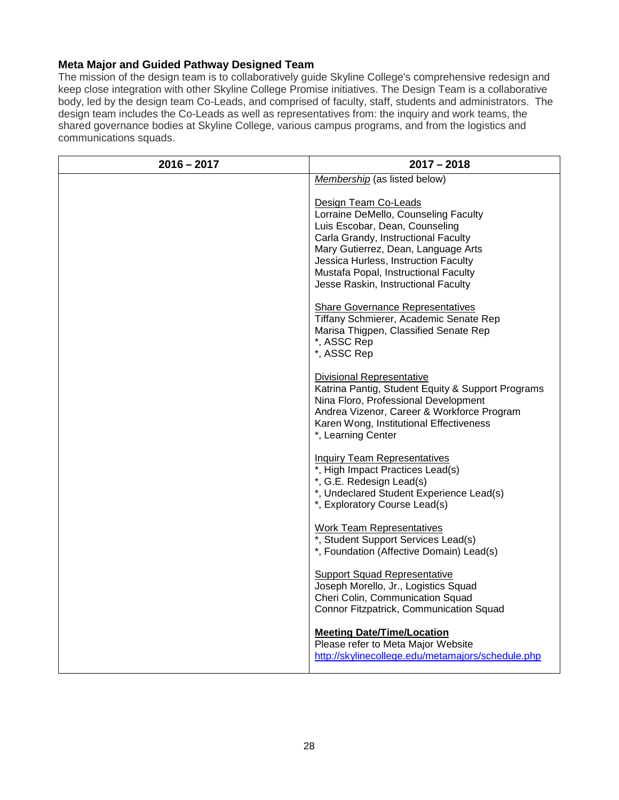### <span id="page-27-0"></span>**Meta Major and Guided Pathway Designed Team**

The mission of the design team is to collaboratively guide Skyline College's comprehensive redesign and keep close integration with other Skyline College Promise initiatives. The Design Team is a collaborative body, led by the design team Co-Leads, and comprised of faculty, staff, students and administrators. The design team includes the Co-Leads as well as representatives from: the inquiry and work teams, the shared governance bodies at Skyline College, various campus programs, and from the logistics and communications squads.

| $2016 - 2017$ | $2017 - 2018$                                                                                                                                                                                                                                                                                       |
|---------------|-----------------------------------------------------------------------------------------------------------------------------------------------------------------------------------------------------------------------------------------------------------------------------------------------------|
|               | Membership (as listed below)                                                                                                                                                                                                                                                                        |
|               | Design Team Co-Leads<br>Lorraine DeMello, Counseling Faculty<br>Luis Escobar, Dean, Counseling<br>Carla Grandy, Instructional Faculty<br>Mary Gutierrez, Dean, Language Arts<br>Jessica Hurless, Instruction Faculty<br>Mustafa Popal, Instructional Faculty<br>Jesse Raskin, Instructional Faculty |
|               | <b>Share Governance Representatives</b><br>Tiffany Schmierer, Academic Senate Rep<br>Marisa Thigpen, Classified Senate Rep<br>*, ASSC Rep<br>*, ASSC Rep                                                                                                                                            |
|               | <b>Divisional Representative</b><br>Katrina Pantig, Student Equity & Support Programs<br>Nina Floro, Professional Development<br>Andrea Vizenor, Career & Workforce Program<br>Karen Wong, Institutional Effectiveness<br>*, Learning Center                                                        |
|               | <b>Inquiry Team Representatives</b><br>*, High Impact Practices Lead(s)<br>*, G.E. Redesign Lead(s)<br>*, Undeclared Student Experience Lead(s)<br>*, Exploratory Course Lead(s)                                                                                                                    |
|               | <b>Work Team Representatives</b><br>*, Student Support Services Lead(s)<br>*, Foundation (Affective Domain) Lead(s)                                                                                                                                                                                 |
|               | <b>Support Squad Representative</b><br>Joseph Morello, Jr., Logistics Squad<br>Cheri Colin, Communication Squad<br>Connor Fitzpatrick, Communication Squad                                                                                                                                          |
|               | <b>Meeting Date/Time/Location</b><br>Please refer to Meta Major Website<br>http://skylinecollege.edu/metamajors/schedule.php                                                                                                                                                                        |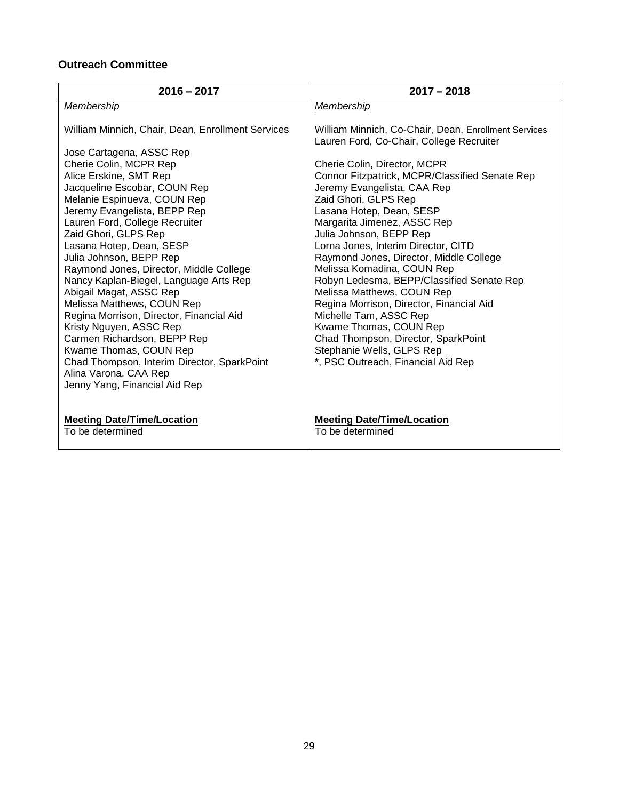# **Outreach Committee**

| $2016 - 2017$                                                                                                                                                                                                                                                                                                                                                                                                                                                                                                                                                                                                                   | $2017 - 2018$                                                                                                                                                                                                                                                                                                                                                                                                                                                                                                                                                                                                                                                                                  |
|---------------------------------------------------------------------------------------------------------------------------------------------------------------------------------------------------------------------------------------------------------------------------------------------------------------------------------------------------------------------------------------------------------------------------------------------------------------------------------------------------------------------------------------------------------------------------------------------------------------------------------|------------------------------------------------------------------------------------------------------------------------------------------------------------------------------------------------------------------------------------------------------------------------------------------------------------------------------------------------------------------------------------------------------------------------------------------------------------------------------------------------------------------------------------------------------------------------------------------------------------------------------------------------------------------------------------------------|
| Membership                                                                                                                                                                                                                                                                                                                                                                                                                                                                                                                                                                                                                      | Membership                                                                                                                                                                                                                                                                                                                                                                                                                                                                                                                                                                                                                                                                                     |
| William Minnich, Chair, Dean, Enrollment Services<br>Jose Cartagena, ASSC Rep<br>Cherie Colin, MCPR Rep<br>Alice Erskine, SMT Rep<br>Jacqueline Escobar, COUN Rep<br>Melanie Espinueva, COUN Rep<br>Jeremy Evangelista, BEPP Rep<br>Lauren Ford, College Recruiter<br>Zaid Ghori, GLPS Rep<br>Lasana Hotep, Dean, SESP<br>Julia Johnson, BEPP Rep<br>Raymond Jones, Director, Middle College<br>Nancy Kaplan-Biegel, Language Arts Rep<br>Abigail Magat, ASSC Rep<br>Melissa Matthews, COUN Rep<br>Regina Morrison, Director, Financial Aid<br>Kristy Nguyen, ASSC Rep<br>Carmen Richardson, BEPP Rep<br>Kwame Thomas, COUN Rep | William Minnich, Co-Chair, Dean, Enrollment Services<br>Lauren Ford, Co-Chair, College Recruiter<br>Cherie Colin, Director, MCPR<br>Connor Fitzpatrick, MCPR/Classified Senate Rep<br>Jeremy Evangelista, CAA Rep<br>Zaid Ghori, GLPS Rep<br>Lasana Hotep, Dean, SESP<br>Margarita Jimenez, ASSC Rep<br>Julia Johnson, BEPP Rep<br>Lorna Jones, Interim Director, CITD<br>Raymond Jones, Director, Middle College<br>Melissa Komadina, COUN Rep<br>Robyn Ledesma, BEPP/Classified Senate Rep<br>Melissa Matthews, COUN Rep<br>Regina Morrison, Director, Financial Aid<br>Michelle Tam, ASSC Rep<br>Kwame Thomas, COUN Rep<br>Chad Thompson, Director, SparkPoint<br>Stephanie Wells, GLPS Rep |
| Chad Thompson, Interim Director, SparkPoint                                                                                                                                                                                                                                                                                                                                                                                                                                                                                                                                                                                     | *, PSC Outreach, Financial Aid Rep                                                                                                                                                                                                                                                                                                                                                                                                                                                                                                                                                                                                                                                             |
| Alina Varona, CAA Rep<br>Jenny Yang, Financial Aid Rep                                                                                                                                                                                                                                                                                                                                                                                                                                                                                                                                                                          |                                                                                                                                                                                                                                                                                                                                                                                                                                                                                                                                                                                                                                                                                                |
|                                                                                                                                                                                                                                                                                                                                                                                                                                                                                                                                                                                                                                 |                                                                                                                                                                                                                                                                                                                                                                                                                                                                                                                                                                                                                                                                                                |
| <b>Meeting Date/Time/Location</b><br>To be determined                                                                                                                                                                                                                                                                                                                                                                                                                                                                                                                                                                           | <b>Meeting Date/Time/Location</b><br>To be determined                                                                                                                                                                                                                                                                                                                                                                                                                                                                                                                                                                                                                                          |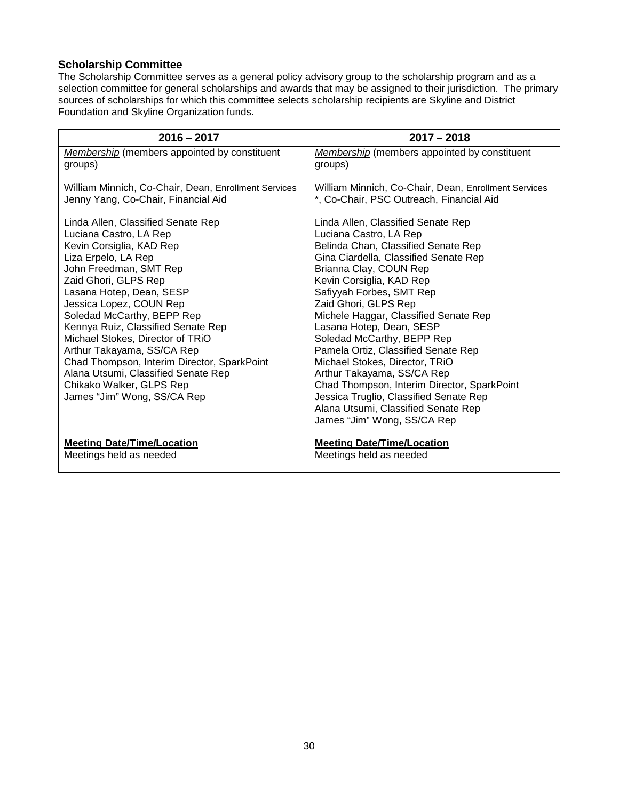### <span id="page-29-0"></span>**Scholarship Committee**

The Scholarship Committee serves as a general policy advisory group to the scholarship program and as a selection committee for general scholarships and awards that may be assigned to their jurisdiction. The primary sources of scholarships for which this committee selects scholarship recipients are Skyline and District Foundation and Skyline Organization funds.

| $2016 - 2017$                                                                                                                                                                                                                                                                                                                                                                                                                                                                                                   | $2017 - 2018$                                                                                                                                                                                                                                                                                                                                                                                                                                                                                                                                                                                                                   |
|-----------------------------------------------------------------------------------------------------------------------------------------------------------------------------------------------------------------------------------------------------------------------------------------------------------------------------------------------------------------------------------------------------------------------------------------------------------------------------------------------------------------|---------------------------------------------------------------------------------------------------------------------------------------------------------------------------------------------------------------------------------------------------------------------------------------------------------------------------------------------------------------------------------------------------------------------------------------------------------------------------------------------------------------------------------------------------------------------------------------------------------------------------------|
| <b>Membership</b> (members appointed by constituent                                                                                                                                                                                                                                                                                                                                                                                                                                                             | <b>Membership</b> (members appointed by constituent                                                                                                                                                                                                                                                                                                                                                                                                                                                                                                                                                                             |
| groups)                                                                                                                                                                                                                                                                                                                                                                                                                                                                                                         | groups)                                                                                                                                                                                                                                                                                                                                                                                                                                                                                                                                                                                                                         |
| William Minnich, Co-Chair, Dean, Enrollment Services                                                                                                                                                                                                                                                                                                                                                                                                                                                            | William Minnich, Co-Chair, Dean, Enrollment Services                                                                                                                                                                                                                                                                                                                                                                                                                                                                                                                                                                            |
| Jenny Yang, Co-Chair, Financial Aid                                                                                                                                                                                                                                                                                                                                                                                                                                                                             | *, Co-Chair, PSC Outreach, Financial Aid                                                                                                                                                                                                                                                                                                                                                                                                                                                                                                                                                                                        |
| Linda Allen, Classified Senate Rep<br>Luciana Castro, LA Rep<br>Kevin Corsiglia, KAD Rep<br>Liza Erpelo, LA Rep<br>John Freedman, SMT Rep<br>Zaid Ghori, GLPS Rep<br>Lasana Hotep, Dean, SESP<br>Jessica Lopez, COUN Rep<br>Soledad McCarthy, BEPP Rep<br>Kennya Ruiz, Classified Senate Rep<br>Michael Stokes, Director of TRiO<br>Arthur Takayama, SS/CA Rep<br>Chad Thompson, Interim Director, SparkPoint<br>Alana Utsumi, Classified Senate Rep<br>Chikako Walker, GLPS Rep<br>James "Jim" Wong, SS/CA Rep | Linda Allen, Classified Senate Rep<br>Luciana Castro, LA Rep<br>Belinda Chan, Classified Senate Rep<br>Gina Ciardella, Classified Senate Rep<br>Brianna Clay, COUN Rep<br>Kevin Corsiglia, KAD Rep<br>Safiyyah Forbes, SMT Rep<br>Zaid Ghori, GLPS Rep<br>Michele Haggar, Classified Senate Rep<br>Lasana Hotep, Dean, SESP<br>Soledad McCarthy, BEPP Rep<br>Pamela Ortiz, Classified Senate Rep<br>Michael Stokes, Director, TRiO<br>Arthur Takayama, SS/CA Rep<br>Chad Thompson, Interim Director, SparkPoint<br>Jessica Truglio, Classified Senate Rep<br>Alana Utsumi, Classified Senate Rep<br>James "Jim" Wong, SS/CA Rep |
| <b>Meeting Date/Time/Location</b>                                                                                                                                                                                                                                                                                                                                                                                                                                                                               | <b>Meeting Date/Time/Location</b>                                                                                                                                                                                                                                                                                                                                                                                                                                                                                                                                                                                               |
| Meetings held as needed                                                                                                                                                                                                                                                                                                                                                                                                                                                                                         | Meetings held as needed                                                                                                                                                                                                                                                                                                                                                                                                                                                                                                                                                                                                         |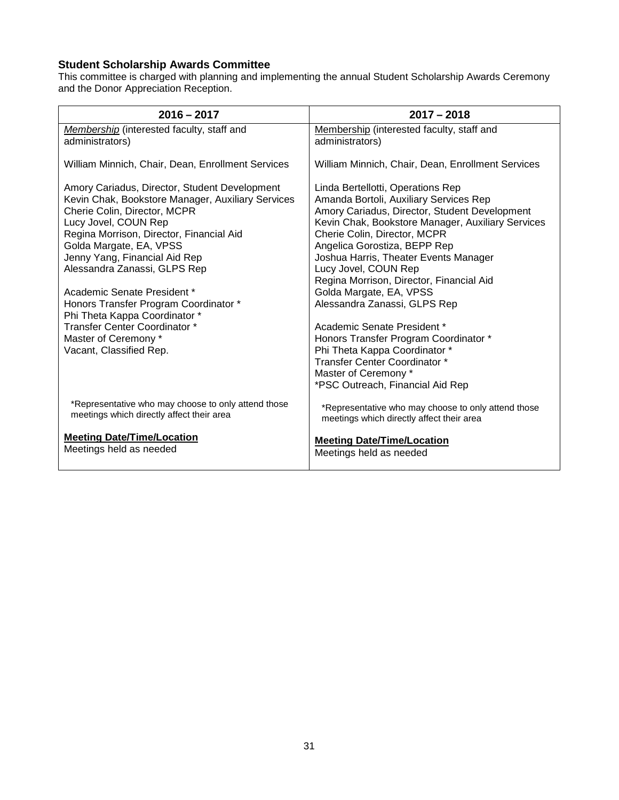### <span id="page-30-0"></span>**Student Scholarship Awards Committee**

This committee is charged with planning and implementing the annual Student Scholarship Awards Ceremony and the Donor Appreciation Reception.

| $2016 - 2017$                                                                                                                                                                                                                                                                                      | $2017 - 2018$                                                                                                                                                                                                                                                                                                                                                  |
|----------------------------------------------------------------------------------------------------------------------------------------------------------------------------------------------------------------------------------------------------------------------------------------------------|----------------------------------------------------------------------------------------------------------------------------------------------------------------------------------------------------------------------------------------------------------------------------------------------------------------------------------------------------------------|
| Membership (interested faculty, staff and<br>administrators)                                                                                                                                                                                                                                       | Membership (interested faculty, staff and<br>administrators)                                                                                                                                                                                                                                                                                                   |
| William Minnich, Chair, Dean, Enrollment Services                                                                                                                                                                                                                                                  | William Minnich, Chair, Dean, Enrollment Services                                                                                                                                                                                                                                                                                                              |
| Amory Cariadus, Director, Student Development<br>Kevin Chak, Bookstore Manager, Auxiliary Services<br>Cherie Colin, Director, MCPR<br>Lucy Jovel, COUN Rep<br>Regina Morrison, Director, Financial Aid<br>Golda Margate, EA, VPSS<br>Jenny Yang, Financial Aid Rep<br>Alessandra Zanassi, GLPS Rep | Linda Bertellotti, Operations Rep<br>Amanda Bortoli, Auxiliary Services Rep<br>Amory Cariadus, Director, Student Development<br>Kevin Chak, Bookstore Manager, Auxiliary Services<br>Cherie Colin, Director, MCPR<br>Angelica Gorostiza, BEPP Rep<br>Joshua Harris, Theater Events Manager<br>Lucy Jovel, COUN Rep<br>Regina Morrison, Director, Financial Aid |
| Academic Senate President *<br>Honors Transfer Program Coordinator *<br>Phi Theta Kappa Coordinator *                                                                                                                                                                                              | Golda Margate, EA, VPSS<br>Alessandra Zanassi, GLPS Rep                                                                                                                                                                                                                                                                                                        |
| Transfer Center Coordinator *<br>Master of Ceremony *<br>Vacant, Classified Rep.                                                                                                                                                                                                                   | Academic Senate President *<br>Honors Transfer Program Coordinator *<br>Phi Theta Kappa Coordinator *<br>Transfer Center Coordinator *<br>Master of Ceremony *<br>*PSC Outreach, Financial Aid Rep                                                                                                                                                             |
| *Representative who may choose to only attend those<br>meetings which directly affect their area                                                                                                                                                                                                   | *Representative who may choose to only attend those<br>meetings which directly affect their area                                                                                                                                                                                                                                                               |
| <b>Meeting Date/Time/Location</b><br>Meetings held as needed                                                                                                                                                                                                                                       | <b>Meeting Date/Time/Location</b><br>Meetings held as needed                                                                                                                                                                                                                                                                                                   |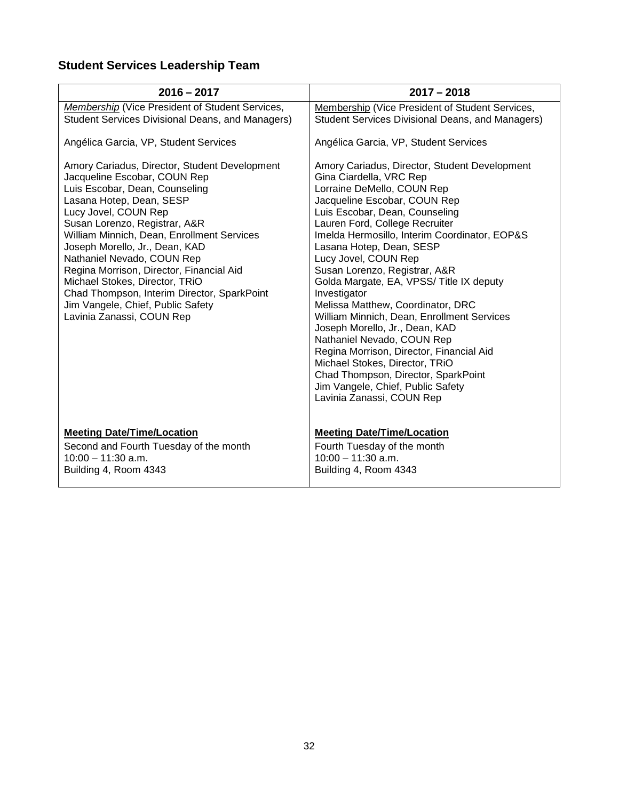# <span id="page-31-0"></span>**Student Services Leadership Team**

| $2016 - 2017$                                                                                                                                                                                                                                                                                                                                                                                                                                                                                                     | $2017 - 2018$                                                                                                                                                                                                                                                                                                                                                                                                                                                                                                                                                                                                                                                                                                                                          |
|-------------------------------------------------------------------------------------------------------------------------------------------------------------------------------------------------------------------------------------------------------------------------------------------------------------------------------------------------------------------------------------------------------------------------------------------------------------------------------------------------------------------|--------------------------------------------------------------------------------------------------------------------------------------------------------------------------------------------------------------------------------------------------------------------------------------------------------------------------------------------------------------------------------------------------------------------------------------------------------------------------------------------------------------------------------------------------------------------------------------------------------------------------------------------------------------------------------------------------------------------------------------------------------|
| Membership (Vice President of Student Services,<br><b>Student Services Divisional Deans, and Managers)</b>                                                                                                                                                                                                                                                                                                                                                                                                        | Membership (Vice President of Student Services,<br>Student Services Divisional Deans, and Managers)                                                                                                                                                                                                                                                                                                                                                                                                                                                                                                                                                                                                                                                    |
| Angélica Garcia, VP, Student Services                                                                                                                                                                                                                                                                                                                                                                                                                                                                             | Angélica Garcia, VP, Student Services                                                                                                                                                                                                                                                                                                                                                                                                                                                                                                                                                                                                                                                                                                                  |
| Amory Cariadus, Director, Student Development<br>Jacqueline Escobar, COUN Rep<br>Luis Escobar, Dean, Counseling<br>Lasana Hotep, Dean, SESP<br>Lucy Jovel, COUN Rep<br>Susan Lorenzo, Registrar, A&R<br>William Minnich, Dean, Enrollment Services<br>Joseph Morello, Jr., Dean, KAD<br>Nathaniel Nevado, COUN Rep<br>Regina Morrison, Director, Financial Aid<br>Michael Stokes, Director, TRiO<br>Chad Thompson, Interim Director, SparkPoint<br>Jim Vangele, Chief, Public Safety<br>Lavinia Zanassi, COUN Rep | Amory Cariadus, Director, Student Development<br>Gina Ciardella, VRC Rep<br>Lorraine DeMello, COUN Rep<br>Jacqueline Escobar, COUN Rep<br>Luis Escobar, Dean, Counseling<br>Lauren Ford, College Recruiter<br>Imelda Hermosillo, Interim Coordinator, EOP&S<br>Lasana Hotep, Dean, SESP<br>Lucy Jovel, COUN Rep<br>Susan Lorenzo, Registrar, A&R<br>Golda Margate, EA, VPSS/ Title IX deputy<br>Investigator<br>Melissa Matthew, Coordinator, DRC<br>William Minnich, Dean, Enrollment Services<br>Joseph Morello, Jr., Dean, KAD<br>Nathaniel Nevado, COUN Rep<br>Regina Morrison, Director, Financial Aid<br>Michael Stokes, Director, TRiO<br>Chad Thompson, Director, SparkPoint<br>Jim Vangele, Chief, Public Safety<br>Lavinia Zanassi, COUN Rep |
| <b>Meeting Date/Time/Location</b><br>Second and Fourth Tuesday of the month<br>$10:00 - 11:30$ a.m.<br>Building 4, Room 4343                                                                                                                                                                                                                                                                                                                                                                                      | <b>Meeting Date/Time/Location</b><br>Fourth Tuesday of the month<br>$10:00 - 11:30$ a.m.<br>Building 4, Room 4343                                                                                                                                                                                                                                                                                                                                                                                                                                                                                                                                                                                                                                      |